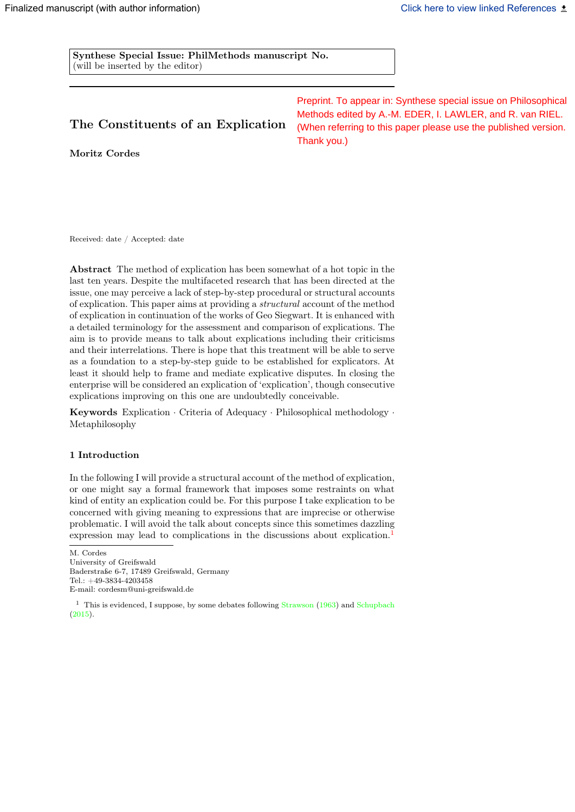Synthese Special Issue: PhilMethods manuscript No. (will be inserted by the editor)

# The Constituents of an Explication

Moritz Cordes

Preprint. To appear in: Synthese special issue on Philosophical Methods edited by A.-M. EDER, I. LAWLER, and R. van RIEL. (When referring to this paper please use the published version. Thank you.)

Received: date / Accepted: date

Abstract The method of explication has been somewhat of a hot topic in the last ten years. Despite the multifaceted research that has been directed at the issue, one may perceive a lack of step-by-step procedural or structural accounts of explication. This paper aims at providing a structural account of the method of explication in continuation of the works of Geo Siegwart. It is enhanced with a detailed terminology for the assessment and comparison of explications. The aim is to provide means to talk about explications including their criticisms and their interrelations. There is hope that this treatment will be able to serve as a foundation to a step-by-step guide to be established for explicators. At least it should help to frame and mediate explicative disputes. In closing the enterprise will be considered an explication of 'explication', though consecutive explications improving on this one are undoubtedly conceivable.

Keywords Explication · Criteria of Adequacy · Philosophical methodology · Metaphilosophy

## 1 Introduction

In the following I will provide a structural account of the method of explication, or one might say a formal framework that imposes some restraints on what kind of entity an explication could be. For this purpose I take explication to be concerned with giving meaning to expressions that are imprecise or otherwise problematic. I will avoid the talk about concepts since this sometimes dazzling expression may lead to complications in the discussions about explication.<sup>[1](#page-0-0)</sup>

M. Cordes

University of Greifswald Baderstraße 6-7, 17489 Greifswald, Germany Tel.: +49-3834-4203458 E-mail: cordesm@uni-greifswald.de

<span id="page-0-0"></span> $^1\,$  This is evidenced, I suppose, by some debates following [Strawson](#page-28-0) [\(1963\)](#page-28-0) and [Schupbach](#page-28-1) [\(2015\)](#page-28-1).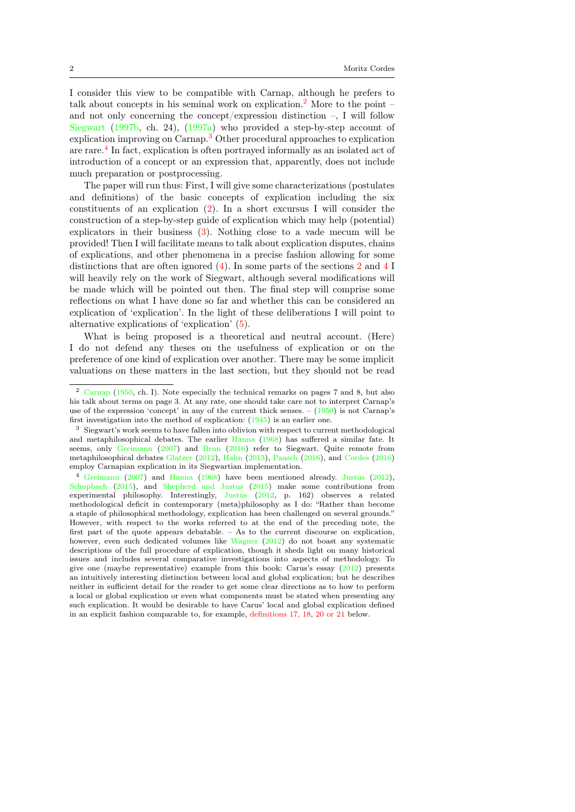I consider this view to be compatible with Carnap, although he prefers to talk about concepts in his seminal work on explication.<sup>[2](#page-1-0)</sup> More to the point – and not only concerning the concept/expression distinction  $-$ , I will follow [Siegwart](#page-28-2) [\(1997b,](#page-28-2) ch. 24), [\(1997a\)](#page-28-3) who provided a step-by-step account of explication improving on Carnap.<sup>[3](#page-1-1)</sup> Other procedural approaches to explication are rare.<sup>[4](#page-1-2)</sup> In fact, explication is often portrayed informally as an isolated act of introduction of a concept or an expression that, apparently, does not include much preparation or postprocessing.

The paper will run thus: First, I will give some characterizations (postulates and definitions) of the basic concepts of explication including the six constituents of an explication  $(2)$ . In a short excursus I will consider the construction of a step-by-step guide of explication which may help (potential) explicators in their business [\(3\)](#page-12-0). Nothing close to a vade mecum will be provided! Then I will facilitate means to talk about explication disputes, chains of explications, and other phenomena in a precise fashion allowing for some distinctions that are often ignored [\(4\)](#page-15-0). In some parts of the sections [2](#page-2-0) and [4](#page-15-0) I will heavily rely on the work of Siegwart, although several modifications will be made which will be pointed out then. The final step will comprise some reflections on what I have done so far and whether this can be considered an explication of 'explication'. In the light of these deliberations I will point to alternative explications of 'explication' [\(5\)](#page-23-0).

What is being proposed is a theoretical and neutral account. (Here) I do not defend any theses on the usefulness of explication or on the preference of one kind of explication over another. There may be some implicit valuations on these matters in the last section, but they should not be read

<span id="page-1-0"></span><sup>2</sup> [Carnap](#page-27-0) [\(1950,](#page-27-0) ch. I). Note especially the technical remarks on pages 7 and 8, but also his talk about terms on page 3. At any rate, one should take care not to interpret Carnap's use of the expression 'concept' in any of the current thick senses.  $(1950)$  is not Carnap's first investigation into the method of explication: [\(1945\)](#page-27-1) is an earlier one.

<span id="page-1-1"></span><sup>3</sup> Siegwart's work seems to have fallen into oblivion with respect to current methodological and metaphilosophical debates. The earlier [Hanna](#page-27-2) [\(1968\)](#page-27-2) has suffered a similar fate. It seems, only [Greimann](#page-27-3) [\(2007\)](#page-27-3) and [Brun](#page-27-4) [\(2016\)](#page-27-4) refer to Siegwart. Quite remote from metaphilosophical debates [Glatzer](#page-27-5) [\(2012\)](#page-27-5), [Hahn](#page-27-6) [\(2013\)](#page-27-6), [Paasch](#page-27-7) [\(2016\)](#page-27-7), and [Cordes](#page-27-8) [\(2016\)](#page-27-8) employ Carnapian explication in its Siegwartian implementation.

<span id="page-1-2"></span><sup>4</sup> [Greimann](#page-27-3) [\(2007\)](#page-27-3) and [Hanna](#page-27-2) [\(1968\)](#page-27-2) have been mentioned already. [Justus](#page-27-9) [\(2012\)](#page-27-9), [Schupbach](#page-28-1) [\(2015\)](#page-28-1), and [Shepherd and Justus](#page-28-4) [\(2015\)](#page-28-4) make some contributions from experimental philosophy. Interestingly, [Justus](#page-27-9) [\(2012,](#page-27-9) p. 162) observes a related methodological deficit in contemporary (meta)philosophy as I do: "Rather than become a staple of philosophical methodology, explication has been challenged on several grounds." However, with respect to the works referred to at the end of the preceding note, the first part of the quote appears debatable. – As to the current discourse on explication, however, even such dedicated volumes like [Wagner](#page-28-5) [\(2012\)](#page-28-5) do not boast any systematic descriptions of the full procedure of explication, though it sheds light on many historical issues and includes several comparative investigations into aspects of methodology. To give one (maybe representative) example from this book: Carus's essay [\(2012\)](#page-27-10) presents an intuitively interesting distinction between local and global explication; but he describes neither in sufficient detail for the reader to get some clear directions as to how to perform a local or global explication or even what components must be stated when presenting any such explication. It would be desirable to have Carus' local and global explication defined in an explicit fashion comparable to, for example, [definitions 17, 18,](#page-12-1) [20 or 21](#page-12-1) below.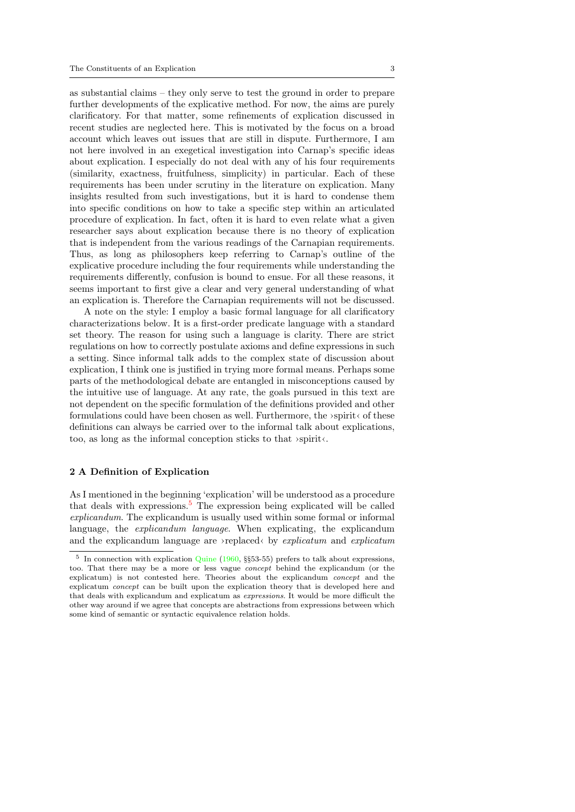as substantial claims – they only serve to test the ground in order to prepare further developments of the explicative method. For now, the aims are purely clarificatory. For that matter, some refinements of explication discussed in recent studies are neglected here. This is motivated by the focus on a broad account which leaves out issues that are still in dispute. Furthermore, I am not here involved in an exegetical investigation into Carnap's specific ideas about explication. I especially do not deal with any of his four requirements (similarity, exactness, fruitfulness, simplicity) in particular. Each of these requirements has been under scrutiny in the literature on explication. Many insights resulted from such investigations, but it is hard to condense them into specific conditions on how to take a specific step within an articulated procedure of explication. In fact, often it is hard to even relate what a given researcher says about explication because there is no theory of explication that is independent from the various readings of the Carnapian requirements. Thus, as long as philosophers keep referring to Carnap's outline of the explicative procedure including the four requirements while understanding the requirements differently, confusion is bound to ensue. For all these reasons, it seems important to first give a clear and very general understanding of what an explication is. Therefore the Carnapian requirements will not be discussed.

A note on the style: I employ a basic formal language for all clarificatory characterizations below. It is a first-order predicate language with a standard set theory. The reason for using such a language is clarity. There are strict regulations on how to correctly postulate axioms and define expressions in such a setting. Since informal talk adds to the complex state of discussion about explication, I think one is justified in trying more formal means. Perhaps some parts of the methodological debate are entangled in misconceptions caused by the intuitive use of language. At any rate, the goals pursued in this text are not dependent on the specific formulation of the definitions provided and other formulations could have been chosen as well. Furthermore, the  $\rightarrow$ spirit $\leftarrow$  of these definitions can always be carried over to the informal talk about explications, too, as long as the informal conception sticks to that ›spirit‹.

## <span id="page-2-0"></span>2 A Definition of Explication

As I mentioned in the beginning 'explication' will be understood as a procedure that deals with expressions.<sup>[5](#page-2-1)</sup> The expression being explicated will be called explicandum. The explicandum is usually used within some formal or informal language, the *explicandum language*. When explicating, the explicandum and the explicandum language are  $\rangle$ replaced $\langle$  by *explicatum* and *explicatum* 

<span id="page-2-1"></span><sup>&</sup>lt;sup>5</sup> In connection with explication [Quine](#page-28-6) [\(1960,](#page-28-6) §§53-55) prefers to talk about expressions, too. That there may be a more or less vague concept behind the explicandum (or the explicatum) is not contested here. Theories about the explicandum concept and the explicatum concept can be built upon the explication theory that is developed here and that deals with explicandum and explicatum as expressions. It would be more difficult the other way around if we agree that concepts are abstractions from expressions between which some kind of semantic or syntactic equivalence relation holds.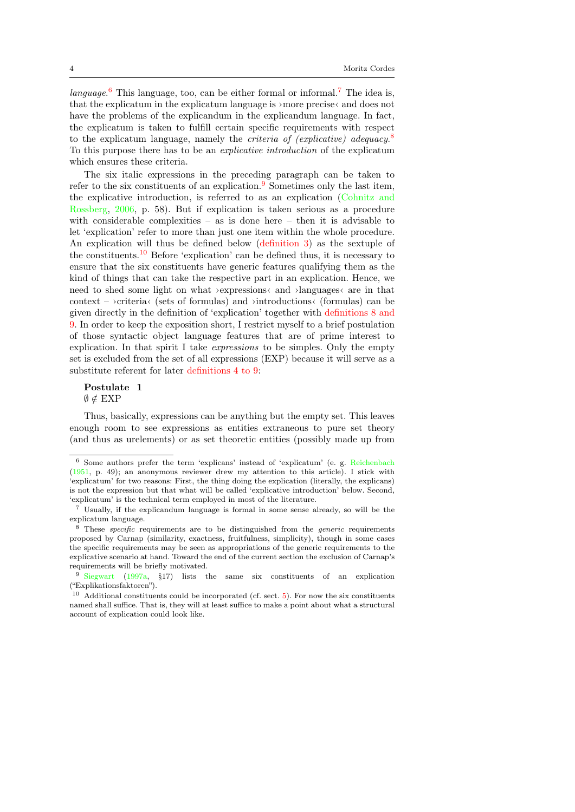language.<sup>[6](#page-3-0)</sup> This language, too, can be either formal or informal.<sup>[7](#page-3-1)</sup> The idea is, that the explicatum in the explicatum language is  $\rightarrow$  more precise $\leftarrow$  and does not have the problems of the explicandum in the explicandum language. In fact, the explicatum is taken to fulfill certain specific requirements with respect to the explicatum language, namely the *criteria of (explicative)* adequacy.<sup>[8](#page-3-2)</sup> To this purpose there has to be an explicative introduction of the explicatum which ensures these criteria.

The six italic expressions in the preceding paragraph can be taken to refer to the six constituents of an explication.<sup>[9](#page-3-3)</sup> Sometimes only the last item, the explicative introduction, is referred to as an explication [\(Cohnitz and](#page-27-11) [Rossberg,](#page-27-11) [2006,](#page-27-11) p. 58). But if explication is taken serious as a procedure with considerable complexities – as is done here – then it is advisable to let 'explication' refer to more than just one item within the whole procedure. An explication will thus be defined below [\(definition 3\)](#page-5-0) as the sextuple of the constituents.<sup>[10](#page-3-4)</sup> Before 'explication' can be defined thus, it is necessary to ensure that the six constituents have generic features qualifying them as the kind of things that can take the respective part in an explication. Hence, we need to shed some light on what  $\gamma$ expressions $\gamma$  and  $\gamma$ languages $\gamma$  are in that context –  $\circ$ criteria $\circ$  (sets of formulas) and  $\circ$ introductions $\circ$  (formulas) can be given directly in the definition of 'explication' together with [definitions 8 and](#page-8-0) [9.](#page-8-0) In order to keep the exposition short, I restrict myself to a brief postulation of those syntactic object language features that are of prime interest to explication. In that spirit I take expressions to be simples. Only the empty set is excluded from the set of all expressions (EXP) because it will serve as a substitute referent for later [definitions 4 to 9:](#page-7-0)

## <span id="page-3-5"></span>Postulate 1  $\emptyset \notin EXP$

Thus, basically, expressions can be anything but the empty set. This leaves enough room to see expressions as entities extraneous to pure set theory (and thus as urelements) or as set theoretic entities (possibly made up from

<span id="page-3-0"></span><sup>6</sup> Some authors prefer the term 'explicans' instead of 'explicatum' (e. g. [Reichenbach](#page-28-7) [\(1951,](#page-28-7) p. 49); an anonymous reviewer drew my attention to this article). I stick with 'explicatum' for two reasons: First, the thing doing the explication (literally, the explicans) is not the expression but that what will be called 'explicative introduction' below. Second, 'explicatum' is the technical term employed in most of the literature.

<span id="page-3-1"></span><sup>7</sup> Usually, if the explicandum language is formal in some sense already, so will be the explicatum language.

<span id="page-3-2"></span><sup>&</sup>lt;sup>8</sup> These *specific* requirements are to be distinguished from the *generic* requirements proposed by Carnap (similarity, exactness, fruitfulness, simplicity), though in some cases the specific requirements may be seen as appropriations of the generic requirements to the explicative scenario at hand. Toward the end of the current section the exclusion of Carnap's requirements will be briefly motivated.

<span id="page-3-3"></span><sup>9</sup> [Siegwart](#page-28-3) [\(1997a,](#page-28-3) §17) lists the same six constituents of an explication ("Explikationsfaktoren").

<span id="page-3-4"></span> $10$  Additional constituents could be incorporated (cf. sect. [5\)](#page-23-0). For now the six constituents named shall suffice. That is, they will at least suffice to make a point about what a structural account of explication could look like.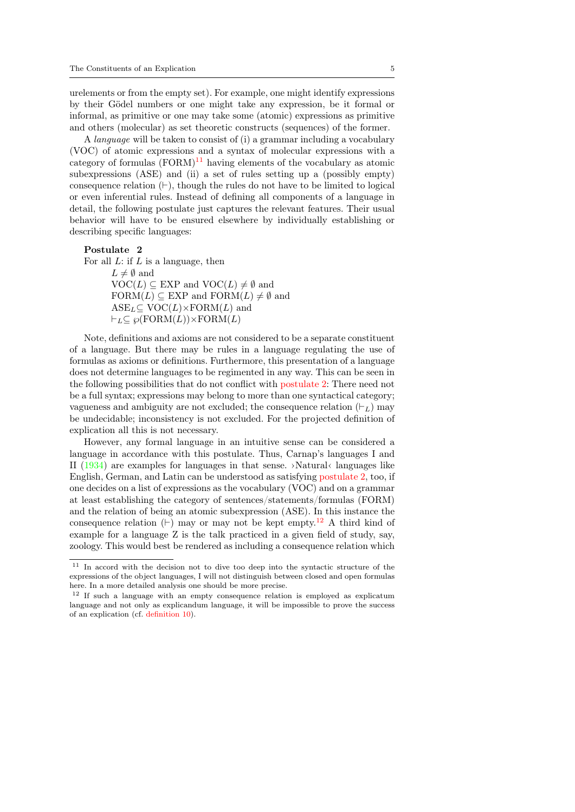urelements or from the empty set). For example, one might identify expressions by their Gödel numbers or one might take any expression, be it formal or informal, as primitive or one may take some (atomic) expressions as primitive and others (molecular) as set theoretic constructs (sequences) of the former.

A language will be taken to consist of (i) a grammar including a vocabulary (VOC) of atomic expressions and a syntax of molecular expressions with a category of formulas  $(FORM)^{11}$  $(FORM)^{11}$  $(FORM)^{11}$  having elements of the vocabulary as atomic subexpressions (ASE) and (ii) a set of rules setting up a (possibly empty) consequence relation  $(\vdash)$ , though the rules do not have to be limited to logical or even inferential rules. Instead of defining all components of a language in detail, the following postulate just captures the relevant features. Their usual behavior will have to be ensured elsewhere by individually establishing or describing specific languages:

<span id="page-4-1"></span>Postulate 2

For all  $L:$  if  $L$  is a language, then

 $L \neq \emptyset$  and  $VOC(L) \subseteq EXP$  and  $VOC(L) \neq \emptyset$  and  $FORM(L) \subseteq EXP$  and  $FORM(L) \neq \emptyset$  and  $ASE_L \subseteq \text{VOC}(L) \times \text{FORM}(L)$  and  $\vdash_L \subseteq \wp(\text{FORM}(L)) \times \text{FORM}(L)$ 

Note, definitions and axioms are not considered to be a separate constituent of a language. But there may be rules in a language regulating the use of formulas as axioms or definitions. Furthermore, this presentation of a language does not determine languages to be regimented in any way. This can be seen in the following possibilities that do not conflict with [postulate 2:](#page-4-1) There need not be a full syntax; expressions may belong to more than one syntactical category; vagueness and ambiguity are not excluded; the consequence relation  $(\vdash_L)$  may be undecidable; inconsistency is not excluded. For the projected definition of explication all this is not necessary.

However, any formal language in an intuitive sense can be considered a language in accordance with this postulate. Thus, Carnap's languages I and II [\(1934\)](#page-27-12) are examples for languages in that sense.  $\lambda$ Natural $\lambda$  languages like English, German, and Latin can be understood as satisfying [postulate 2,](#page-4-1) too, if one decides on a list of expressions as the vocabulary (VOC) and on a grammar at least establishing the category of sentences/statements/formulas (FORM) and the relation of being an atomic subexpression (ASE). In this instance the consequence relation  $(\vdash)$  may or may not be kept empty.<sup>[12](#page-4-2)</sup> A third kind of example for a language Z is the talk practiced in a given field of study, say, zoology. This would best be rendered as including a consequence relation which

<span id="page-4-0"></span><sup>11</sup> In accord with the decision not to dive too deep into the syntactic structure of the expressions of the object languages, I will not distinguish between closed and open formulas here. In a more detailed analysis one should be more precise.

<span id="page-4-2"></span><sup>12</sup> If such a language with an empty consequence relation is employed as explicatum language and not only as explicandum language, it will be impossible to prove the success of an explication (cf. [definition 10\)](#page-9-0).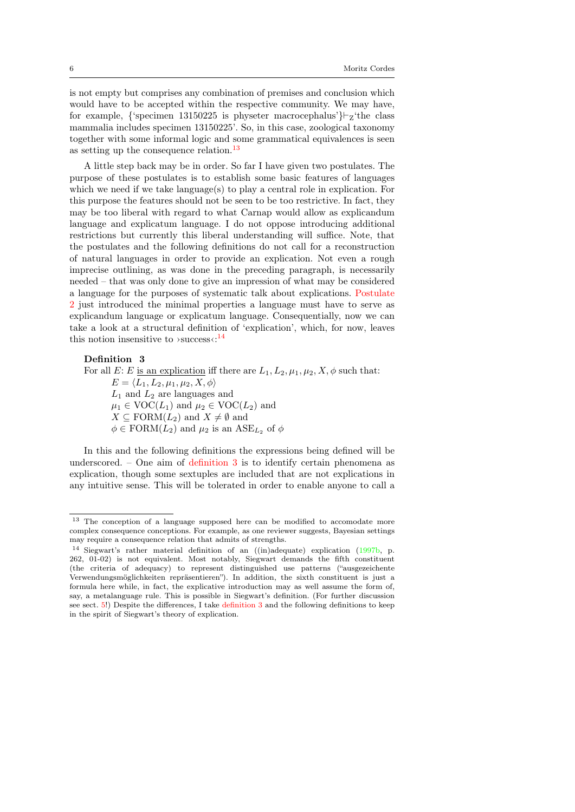is not empty but comprises any combination of premises and conclusion which would have to be accepted within the respective community. We may have, for example,  $\frac{1}{3150225}$  is physeter macrocephalus'} $\vdash$ <sub>z</sub>'the class mammalia includes specimen 13150225'. So, in this case, zoological taxonomy together with some informal logic and some grammatical equivalences is seen as setting up the consequence relation.[13](#page-5-1)

A little step back may be in order. So far I have given two postulates. The purpose of these postulates is to establish some basic features of languages which we need if we take language(s) to play a central role in explication. For this purpose the features should not be seen to be too restrictive. In fact, they may be too liberal with regard to what Carnap would allow as explicandum language and explicatum language. I do not oppose introducing additional restrictions but currently this liberal understanding will suffice. Note, that the postulates and the following definitions do not call for a reconstruction of natural languages in order to provide an explication. Not even a rough imprecise outlining, as was done in the preceding paragraph, is necessarily needed – that was only done to give an impression of what may be considered a language for the purposes of systematic talk about explications. [Postulate](#page-4-1) [2](#page-4-1) just introduced the minimal properties a language must have to serve as explicandum language or explicatum language. Consequentially, now we can take a look at a structural definition of 'explication', which, for now, leaves this notion insensitive to  $\rangle$ success $\langle$ :<sup>[14](#page-5-2)</sup>

#### <span id="page-5-0"></span>Definition 3

For all E: E is an explication iff there are  $L_1, L_2, \mu_1, \mu_2, X, \phi$  such that:  $E = \langle L_1, L_2, \mu_1, \mu_2, X, \phi \rangle$  $L_1$  and  $L_2$  are languages and  $\mu_1 \in \text{VOC}(L_1)$  and  $\mu_2 \in \text{VOC}(L_2)$  and  $X \subseteq \text{FORM}(L_2)$  and  $X \neq \emptyset$  and  $\phi \in \text{FORM}(L_2)$  and  $\mu_2$  is an  $\text{ASE}_{L_2}$  of  $\phi$ 

In this and the following definitions the expressions being defined will be underscored. – One aim of [definition 3](#page-5-0) is to identify certain phenomena as explication, though some sextuples are included that are not explications in any intuitive sense. This will be tolerated in order to enable anyone to call a

<span id="page-5-1"></span><sup>13</sup> The conception of a language supposed here can be modified to accomodate more complex consequence conceptions. For example, as one reviewer suggests, Bayesian settings may require a consequence relation that admits of strengths.

<span id="page-5-2"></span><sup>14</sup> Siegwart's rather material definition of an ((in)adequate) explication [\(1997b,](#page-28-2) p. 262, 01-02) is not equivalent. Most notably, Siegwart demands the fifth constituent (the criteria of adequacy) to represent distinguished use patterns ("ausgezeichente Verwendungsmöglichkeiten repräsentieren"). In addition, the sixth constituent is just a formula here while, in fact, the explicative introduction may as well assume the form of, say, a metalanguage rule. This is possible in Siegwart's definition. (For further discussion see sect. [5!](#page-23-0)) Despite the differences, I take [definition 3](#page-5-0) and the following definitions to keep in the spirit of Siegwart's theory of explication.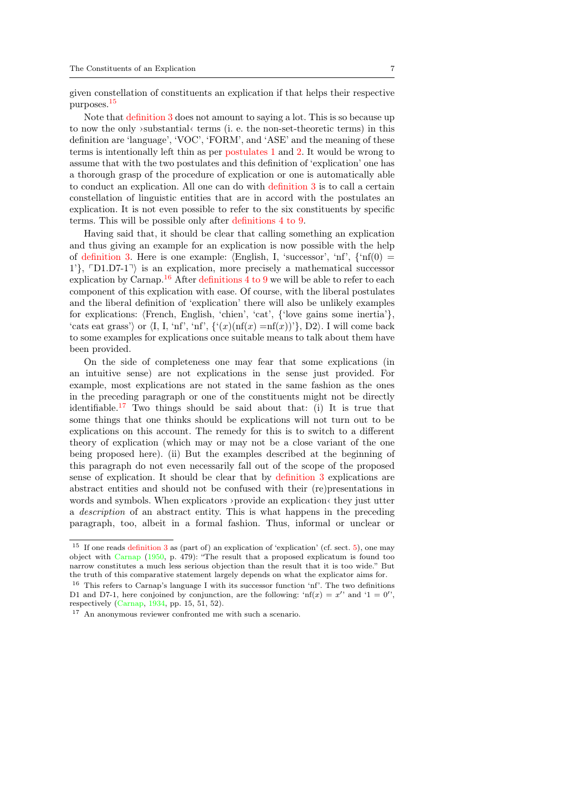given constellation of constituents an explication if that helps their respective purposes.[15](#page-6-0)

Note that [definition 3](#page-5-0) does not amount to saying a lot. This is so because up to now the only  $\rightarrow$  substantial $\left\langle$  terms (i. e. the non-set-theoretic terms) in this definition are 'language', 'VOC', 'FORM', and 'ASE' and the meaning of these terms is intentionally left thin as per [postulates 1](#page-3-5) and [2.](#page-4-1) It would be wrong to assume that with the two postulates and this definition of 'explication' one has a thorough grasp of the procedure of explication or one is automatically able to conduct an explication. All one can do with [definition 3](#page-5-0) is to call a certain constellation of linguistic entities that are in accord with the postulates an explication. It is not even possible to refer to the six constituents by specific terms. This will be possible only after [definitions 4 to 9.](#page-7-0)

Having said that, it should be clear that calling something an explication and thus giving an example for an explication is now possible with the help of [definition 3.](#page-5-0) Here is one example:  $\langle$ English, I, 'successor', 'nf',  $\{$ 'nf(0) =  $1'$ , pD1.D7-1<sup>-</sup>) is an explication, more precisely a mathematical successor explication by Carnap.<sup>[16](#page-6-1)</sup> After [definitions 4 to 9](#page-7-0) we will be able to refer to each component of this explication with ease. Of course, with the liberal postulates and the liberal definition of 'explication' there will also be unlikely examples for explications:  $\{$ French, English, 'chien', 'cat',  $\{$ 'love gains some inertia' $\}$ , 'cats eat grass') or  $\langle I, I, \inf', \inf', \{f(x)(nf(x) = nf(x))'\}, D2\rangle$ . I will come back to some examples for explications once suitable means to talk about them have been provided.

On the side of completeness one may fear that some explications (in an intuitive sense) are not explications in the sense just provided. For example, most explications are not stated in the same fashion as the ones in the preceding paragraph or one of the constituents might not be directly identifiable.<sup>[17](#page-6-2)</sup> Two things should be said about that: (i) It is true that some things that one thinks should be explications will not turn out to be explications on this account. The remedy for this is to switch to a different theory of explication (which may or may not be a close variant of the one being proposed here). (ii) But the examples described at the beginning of this paragraph do not even necessarily fall out of the scope of the proposed sense of explication. It should be clear that by [definition 3](#page-5-0) explications are abstract entities and should not be confused with their (re)presentations in words and symbols. When explicators  $\gamma$  provide an explication $\gamma$  they just utter a description of an abstract entity. This is what happens in the preceding paragraph, too, albeit in a formal fashion. Thus, informal or unclear or

<span id="page-6-0"></span><sup>&</sup>lt;sup>15</sup> If one reads [definition 3](#page-5-0) as (part of) an explication of 'explication' (cf. sect. [5\)](#page-23-0), one may object with [Carnap](#page-27-0) [\(1950,](#page-27-0) p. 479): "The result that a proposed explicatum is found too narrow constitutes a much less serious objection than the result that it is too wide." But the truth of this comparative statement largely depends on what the explicator aims for.

<span id="page-6-1"></span><sup>16</sup> This refers to Carnap's language I with its successor function 'nf'. The two definitions D1 and D7-1, here conjoined by conjunction, are the following: ' $nf(x) = x'$ ' and '1 = 0'', respectively [\(Carnap,](#page-27-12) [1934,](#page-27-12) pp. 15, 51, 52).

<span id="page-6-2"></span><sup>17</sup> An anonymous reviewer confronted me with such a scenario.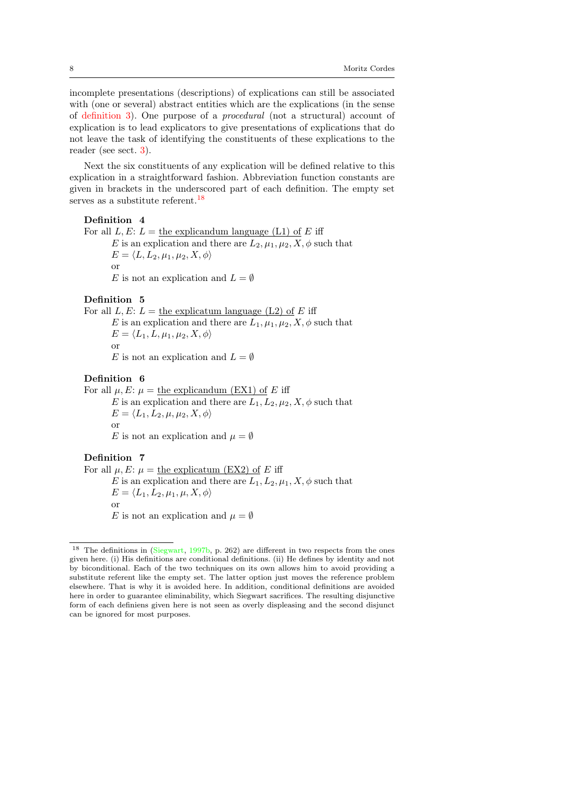incomplete presentations (descriptions) of explications can still be associated with (one or several) abstract entities which are the explications (in the sense of [definition 3\)](#page-5-0). One purpose of a procedural (not a structural) account of explication is to lead explicators to give presentations of explications that do not leave the task of identifying the constituents of these explications to the reader (see sect. [3\)](#page-12-0).

Next the six constituents of any explication will be defined relative to this explication in a straightforward fashion. Abbreviation function constants are given in brackets in the underscored part of each definition. The empty set serves as a substitute referent.<sup>[18](#page-7-1)</sup>

## <span id="page-7-0"></span>Definition 4

For all  $L, E: L =$  the explicandum language (L1) of E iff E is an explication and there are  $L_2, \mu_1, \mu_2, X, \phi$  such that  $E = \langle L, L_2, \mu_1, \mu_2, X, \phi \rangle$ or E is not an explication and  $L = \emptyset$ 

## Definition 5

For all  $L, E: L =$  the explicatum language (L2) of E iff E is an explication and there are  $L_1, \mu_1, \mu_2, X, \phi$  such that  $E = \langle L_1, L, \mu_1, \mu_2, X, \phi \rangle$ or E is not an explication and  $L = \emptyset$ 

## Definition 6

```
For all \mu, E: \mu = the explicandum (EX1) of E iff
```
E is an explication and there are  $L_1, L_2, \mu_2, X, \phi$  such that  $E = \langle L_1, L_2, \mu, \mu_2, X, \phi \rangle$ or E is not an explication and  $\mu = \emptyset$ 

# Definition 7

For all  $\mu$ , E:  $\mu$  = the explicatum (EX2) of E iff E is an explication and there are  $L_1, L_2, \mu_1, X, \phi$  such that  $E = \langle L_1, L_2, \mu_1, \mu, X, \phi \rangle$ or E is not an explication and  $\mu = \emptyset$ 

<span id="page-7-1"></span><sup>18</sup> The definitions in [\(Siegwart,](#page-28-2) [1997b,](#page-28-2) p. 262) are different in two respects from the ones given here. (i) His definitions are conditional definitions. (ii) He defines by identity and not by biconditional. Each of the two techniques on its own allows him to avoid providing a substitute referent like the empty set. The latter option just moves the reference problem elsewhere. That is why it is avoided here. In addition, conditional definitions are avoided here in order to guarantee eliminability, which Siegwart sacrifices. The resulting disjunctive form of each definiens given here is not seen as overly displeasing and the second disjunct can be ignored for most purposes.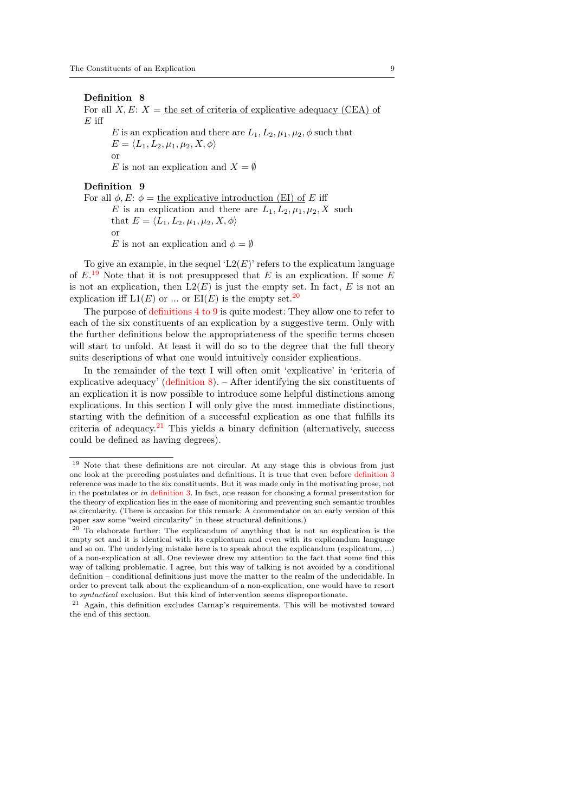#### <span id="page-8-0"></span>Definition 8

For all  $X, E: X =$  the set of criteria of explicative adequacy (CEA) of  ${\cal E}$  iff E is an explication and there are  $L_1, L_2, \mu_1, \mu_2, \phi$  such that

 $E = \langle L_1, L_2, \mu_1, \mu_2, X, \phi \rangle$ or

E is not an explication and  $X = \emptyset$ 

<span id="page-8-4"></span>Definition 9

For all  $\phi$ , E:  $\phi$  = the explicative introduction (EI) of E iff E is an explication and there are  $L_1, L_2, \mu_1, \mu_2, X$  such that  $E = \langle L_1, L_2, \mu_1, \mu_2, X, \phi \rangle$ or E is not an explication and  $\phi = \emptyset$ 

To give an example, in the sequel ' $L2(E)$ ' refers to the explicatum language of  $E^{19}$  $E^{19}$  $E^{19}$ . Note that it is not presupposed that E is an explication. If some E is not an explication, then  $L_2(E)$  is just the empty set. In fact, E is not an explication iff  $L1(E)$  or ... or  $EI(E)$  is the empty set.<sup>[20](#page-8-2)</sup>

The purpose of [definitions 4 to 9](#page-7-0) is quite modest: They allow one to refer to each of the six constituents of an explication by a suggestive term. Only with the further definitions below the appropriateness of the specific terms chosen will start to unfold. At least it will do so to the degree that the full theory suits descriptions of what one would intuitively consider explications.

In the remainder of the text I will often omit 'explicative' in 'criteria of explicative adequacy' [\(definition 8\)](#page-8-0). – After identifying the six constituents of an explication it is now possible to introduce some helpful distinctions among explications. In this section I will only give the most immediate distinctions, starting with the definition of a successful explication as one that fulfills its criteria of adequacy. $21$  This yields a binary definition (alternatively, success could be defined as having degrees).

<span id="page-8-1"></span><sup>&</sup>lt;sup>19</sup> Note that these definitions are not circular. At any stage this is obvious from just one look at the preceding postulates and definitions. It is true that even before [definition 3](#page-5-0) reference was made to the six constituents. But it was made only in the motivating prose, not in the postulates or in [definition 3.](#page-5-0) In fact, one reason for choosing a formal presentation for the theory of explication lies in the ease of monitoring and preventing such semantic troubles as circularity. (There is occasion for this remark: A commentator on an early version of this paper saw some "weird circularity" in these structural definitions.)

<span id="page-8-2"></span><sup>20</sup> To elaborate further: The explicandum of anything that is not an explication is the empty set and it is identical with its explicatum and even with its explicandum language and so on. The underlying mistake here is to speak about the explicandum (explicatum, ...) of a non-explication at all. One reviewer drew my attention to the fact that some find this way of talking problematic. I agree, but this way of talking is not avoided by a conditional definition – conditional definitions just move the matter to the realm of the undecidable. In order to prevent talk about the explicandum of a non-explication, one would have to resort to syntactical exclusion. But this kind of intervention seems disproportionate.

<span id="page-8-3"></span><sup>21</sup> Again, this definition excludes Carnap's requirements. This will be motivated toward the end of this section.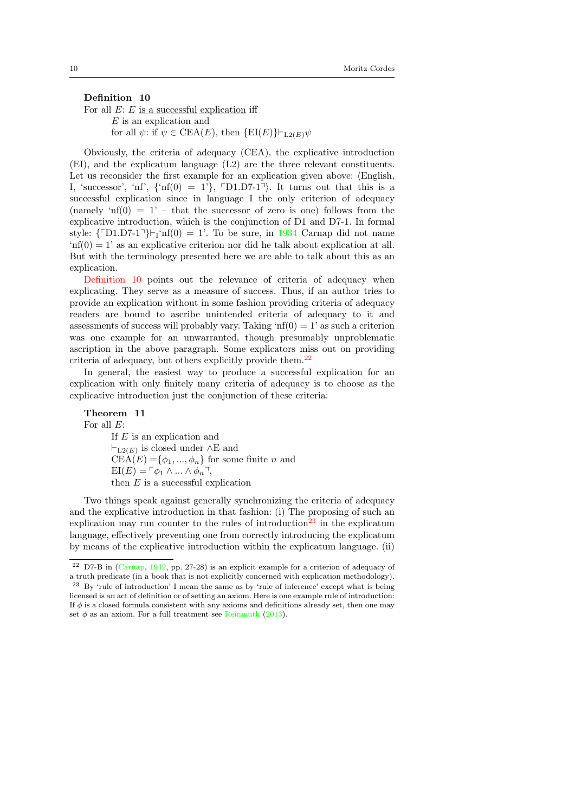# <span id="page-9-0"></span>Definition 10

For all  $E: E$  is a successful explication iff  $E$  is an explication and for all  $\psi$ : if  $\psi \in \text{CEA}(E)$ , then  $\{ \text{EI}(E) \} \vdash_{\text{L2}(E)} \psi$ 

Obviously, the criteria of adequacy (CEA), the explicative introduction (EI), and the explicatum language (L2) are the three relevant constituents. Let us reconsider the first example for an explication given above:  $\langle$ English, I, 'successor', 'nf',  $\{\text{inf}(0) = 1\}$ ,  $\text{D1.D7-1}$ . It turns out that this is a successful explication since in language I the only criterion of adequacy (namely 'nf(0) =  $1'$  – that the successor of zero is one) follows from the explicative introduction, which is the conjunction of D1 and D7-1. In formal style:  $\{\text{FD1.D7-1}^*\}$   $\vdash$ <sub>I</sub>'nf(0) = 1'. To be sure, in [1934](#page-27-12) Carnap did not name  $\inf(0) = 1$ ' as an explicative criterion nor did he talk about explication at all. But with the terminology presented here we are able to talk about this as an explication.

[Definition 10](#page-9-0) points out the relevance of criteria of adequacy when explicating. They serve as a measure of success. Thus, if an author tries to provide an explication without in some fashion providing criteria of adequacy readers are bound to ascribe unintended criteria of adequacy to it and assessments of success will probably vary. Taking ' $nf(0) = 1$ ' as such a criterion was one example for an unwarranted, though presumably unproblematic ascription in the above paragraph. Some explicators miss out on providing criteria of adequacy, but others explicitly provide them. $^{22}$  $^{22}$  $^{22}$ 

In general, the easiest way to produce a successful explication for an explication with only finitely many criteria of adequacy is to choose as the explicative introduction just the conjunction of these criteria:

# <span id="page-9-3"></span>Theorem 11

For all E: If  $E$  is an explication and  $\vdash$ <sub>L2(E)</sub> is closed under ∧E and  $CEA(E) = {\phi_1, ..., \phi_n}$  for some finite n and  $\text{EI}(E) = \ulcorner \phi_1 \wedge ... \wedge \phi_n \urcorner,$ then  $E$  is a successful explication

Two things speak against generally synchronizing the criteria of adequacy and the explicative introduction in that fashion: (i) The proposing of such an explication may run counter to the rules of introduction<sup>[23](#page-9-2)</sup> in the explicatum language, effectively preventing one from correctly introducing the explicatum by means of the explicative introduction within the explicatum language. (ii)

<span id="page-9-2"></span><span id="page-9-1"></span><sup>22</sup> D7-B in [\(Carnap,](#page-27-13) [1942,](#page-27-13) pp. 27-28) is an explicit example for a criterion of adequacy of a truth predicate (in a book that is not explicitly concerned with explication methodology). <sup>23</sup> By 'rule of introduction' I mean the same as by 'rule of inference' except what is being licensed is an act of definition or of setting an axiom. Here is one example rule of introduction: If  $\phi$  is a closed formula consistent with any axioms and definitions already set, then one may set  $\phi$  as an axiom. For a full treatment see [Reinmuth](#page-28-8) [\(2013\)](#page-28-8).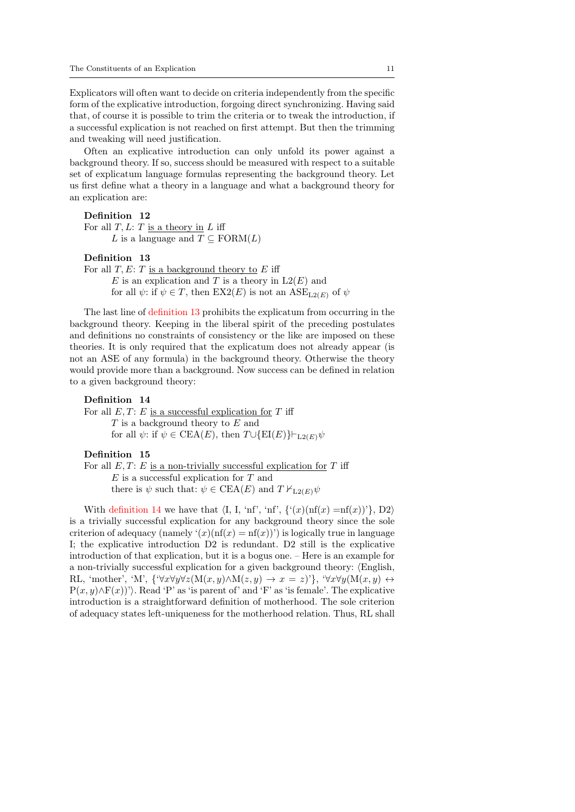Explicators will often want to decide on criteria independently from the specific form of the explicative introduction, forgoing direct synchronizing. Having said that, of course it is possible to trim the criteria or to tweak the introduction, if a successful explication is not reached on first attempt. But then the trimming and tweaking will need justification.

Often an explicative introduction can only unfold its power against a background theory. If so, success should be measured with respect to a suitable set of explicatum language formulas representing the background theory. Let us first define what a theory in a language and what a background theory for an explication are:

### Definition 12

For all  $T, L: T$  is a theory in  $L$  iff L is a language and  $T \subseteq \text{FORM}(L)$ 

## <span id="page-10-0"></span>Definition 13

For all  $T, E: T$  is a background theory to E iff E is an explication and T is a theory in  $L2(E)$  and for all  $\psi$ : if  $\psi \in T$ , then  $EX2(E)$  is not an  $ASE_{L2(E)}$  of  $\psi$ 

The last line of [definition 13](#page-10-0) prohibits the explicatum from occurring in the background theory. Keeping in the liberal spirit of the preceding postulates and definitions no constraints of consistency or the like are imposed on these theories. It is only required that the explicatum does not already appear (is not an ASE of any formula) in the background theory. Otherwise the theory would provide more than a background. Now success can be defined in relation to a given background theory:

### <span id="page-10-1"></span>Definition 14

For all  $E, T: E$  is a successful explication for T iff  $T$  is a background theory to  $E$  and for all  $\psi$ : if  $\psi \in \text{CEA}(E)$ , then  $T \cup \{ \text{EI}(E) \} \vdash_{\text{L2}(E)} \psi$ 

<span id="page-10-2"></span>Definition 15

For all  $E, T: E$  is a non-trivially successful explication for T iff  $E$  is a successful explication for  $T$  and there is  $\psi$  such that:  $\psi \in \text{CEA}(E)$  and  $T \nvDash_{\text{L2}(E)} \psi$ 

With [definition 14](#page-10-1) we have that  $\langle I, I, \inf, f, f', \{f(x)(n f(x) = n f(x))\}\rangle$ , D2 is a trivially successful explication for any background theory since the sole criterion of adequacy (namely ' $(x)(nf(x) = nf(x))$ ') is logically true in language I; the explicative introduction D2 is redundant. D2 still is the explicative introduction of that explication, but it is a bogus one. – Here is an example for a non-trivially successful explication for a given background theory:  $\langle$ English, RL, 'mother', 'M',  $\{\forall x \forall y \forall z (M(x, y) \land M(z, y) \rightarrow x = z)'\}, \forall x \forall y (M(x, y) \leftrightarrow$  $P(x, y) \wedge F(x)$ ')'. Read 'P' as 'is parent of' and 'F' as 'is female'. The explicative introduction is a straightforward definition of motherhood. The sole criterion of adequacy states left-uniqueness for the motherhood relation. Thus, RL shall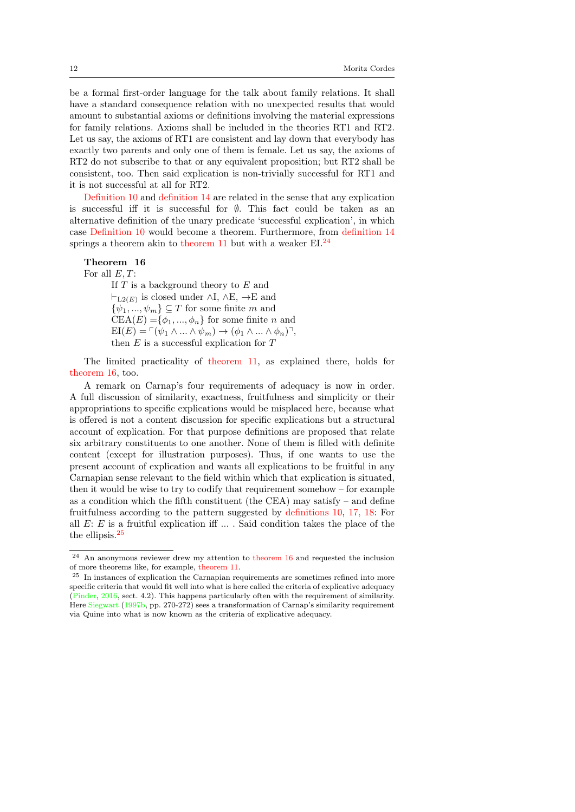be a formal first-order language for the talk about family relations. It shall have a standard consequence relation with no unexpected results that would amount to substantial axioms or definitions involving the material expressions for family relations. Axioms shall be included in the theories RT1 and RT2. Let us say, the axioms of RT1 are consistent and lay down that everybody has exactly two parents and only one of them is female. Let us say, the axioms of RT2 do not subscribe to that or any equivalent proposition; but RT2 shall be consistent, too. Then said explication is non-trivially successful for RT1 and it is not successful at all for RT2.

[Definition 10](#page-9-0) and [definition 14](#page-10-1) are related in the sense that any explication is successful iff it is successful for  $\emptyset$ . This fact could be taken as an alternative definition of the unary predicate 'successful explication', in which case [Definition 10](#page-9-0) would become a theorem. Furthermore, from [definition 14](#page-10-1) springs a theorem akin to [theorem 11](#page-9-3) but with a weaker  $EI^{24}$  $EI^{24}$  $EI^{24}$ 

## <span id="page-11-1"></span>Theorem 16

For all  $E, T$ :

If  $T$  is a background theory to  $E$  and  $\vdash_{\text{L2}(E)}$  is closed under ∧I, ∧E, →E and  $\{\psi_1,...,\psi_m\}\subseteq T$  for some finite  $m$  and  $CEA(E) = {\phi_1, ..., \phi_n}$  for some finite *n* and  $\text{EI}(E) = \ulcorner (\psi_1 \land ... \land \psi_m) \rightarrow (\phi_1 \land ... \land \phi_n) \urcorner,$ then  $E$  is a successful explication for  $T$ 

The limited practicality of [theorem 11,](#page-9-3) as explained there, holds for [theorem 16,](#page-11-1) too.

A remark on Carnap's four requirements of adequacy is now in order. A full discussion of similarity, exactness, fruitfulness and simplicity or their appropriations to specific explications would be misplaced here, because what is offered is not a content discussion for specific explications but a structural account of explication. For that purpose definitions are proposed that relate six arbitrary constituents to one another. None of them is filled with definite content (except for illustration purposes). Thus, if one wants to use the present account of explication and wants all explications to be fruitful in any Carnapian sense relevant to the field within which that explication is situated, then it would be wise to try to codify that requirement somehow – for example as a condition which the fifth constituent (the CEA) may satisfy – and define fruitfulness according to the pattern suggested by [definitions 10,](#page-9-0) [17, 18:](#page-12-1) For all  $E: E$  is a fruitful explication iff  $\ldots$ . Said condition takes the place of the the ellipsis.[25](#page-11-2)

<span id="page-11-0"></span><sup>24</sup> An anonymous reviewer drew my attention to [theorem 16](#page-11-1) and requested the inclusion of more theorems like, for example, [theorem 11.](#page-9-3)

<span id="page-11-2"></span><sup>25</sup> In instances of explication the Carnapian requirements are sometimes refined into more specific criteria that would fit well into what is here called the criteria of explicative adequacy [\(Pinder,](#page-28-9) [2016,](#page-28-9) sect. 4.2). This happens particularly often with the requirement of similarity. Here [Siegwart](#page-28-2) [\(1997b,](#page-28-2) pp. 270-272) sees a transformation of Carnap's similarity requirement via Quine into what is now known as the criteria of explicative adequacy.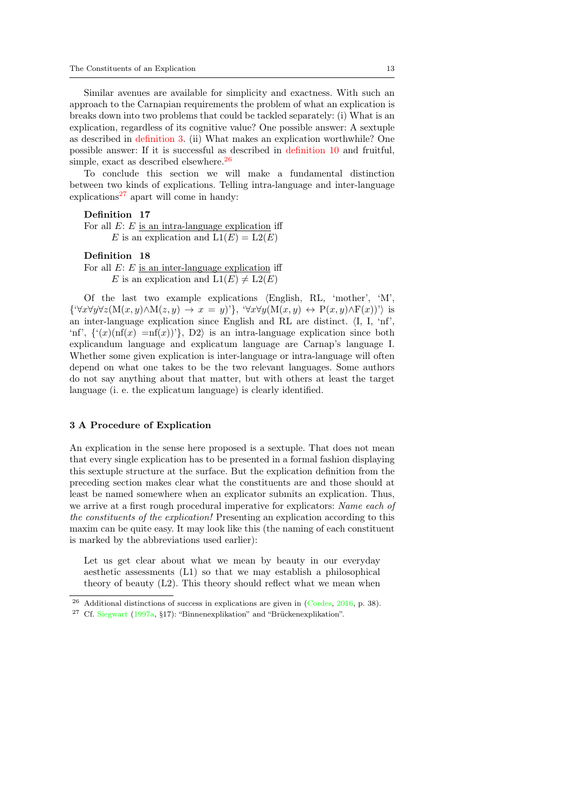Similar avenues are available for simplicity and exactness. With such an approach to the Carnapian requirements the problem of what an explication is breaks down into two problems that could be tackled separately: (i) What is an explication, regardless of its cognitive value? One possible answer: A sextuple as described in [definition 3.](#page-5-0) (ii) What makes an explication worthwhile? One possible answer: If it is successful as described in [definition 10](#page-9-0) and fruitful, simple, exact as described elsewhere. $^{26}$  $^{26}$  $^{26}$ 

To conclude this section we will make a fundamental distinction between two kinds of explications. Telling intra-language and inter-language explications<sup>[27](#page-12-3)</sup> apart will come in handy:

# <span id="page-12-1"></span>Definition 17

For all  $E: E$  is an intra-language explication iff E is an explication and  $L1(E) = L2(E)$ 

#### Definition 18

For all  $E: E$  is an inter-language explication iff E is an explication and  $L1(E) \neq L2(E)$ 

Of the last two example explications  $\langle$ English, RL,  $\langle$ mother $\rangle$ ,  $\langle$ M $\rangle$ ,  ${\forall x \forall y \forall z (M(x, y) \land M(z, y) \rightarrow x = y)}$ ,  $\forall x \forall y (M(x, y) \leftrightarrow P(x, y) \land F(x))$ 'is an inter-language explication since English and RL are distinct.  $\langle I, I, 'n f', \rangle$ 'nf',  $\{(x)(nf(x) = nf(x))'\}$ , D2) is an intra-language explication since both explicandum language and explicatum language are Carnap's language I. Whether some given explication is inter-language or intra-language will often depend on what one takes to be the two relevant languages. Some authors do not say anything about that matter, but with others at least the target language (i. e. the explicatum language) is clearly identified.

#### <span id="page-12-0"></span>3 A Procedure of Explication

An explication in the sense here proposed is a sextuple. That does not mean that every single explication has to be presented in a formal fashion displaying this sextuple structure at the surface. But the explication definition from the preceding section makes clear what the constituents are and those should at least be named somewhere when an explicator submits an explication. Thus, we arrive at a first rough procedural imperative for explicators: Name each of the constituents of the explication! Presenting an explication according to this maxim can be quite easy. It may look like this (the naming of each constituent is marked by the abbreviations used earlier):

Let us get clear about what we mean by beauty in our everyday aesthetic assessments (L1) so that we may establish a philosophical theory of beauty (L2). This theory should reflect what we mean when

<span id="page-12-2"></span> $^{26}$  Additional distinctions of success in explications are given in [\(Cordes,](#page-27-8) [2016,](#page-27-8) p. 38).

<span id="page-12-3"></span><sup>27</sup> Cf. [Siegwart](#page-28-3) [\(1997a,](#page-28-3) §17): "Binnenexplikation" and "Brückenexplikation".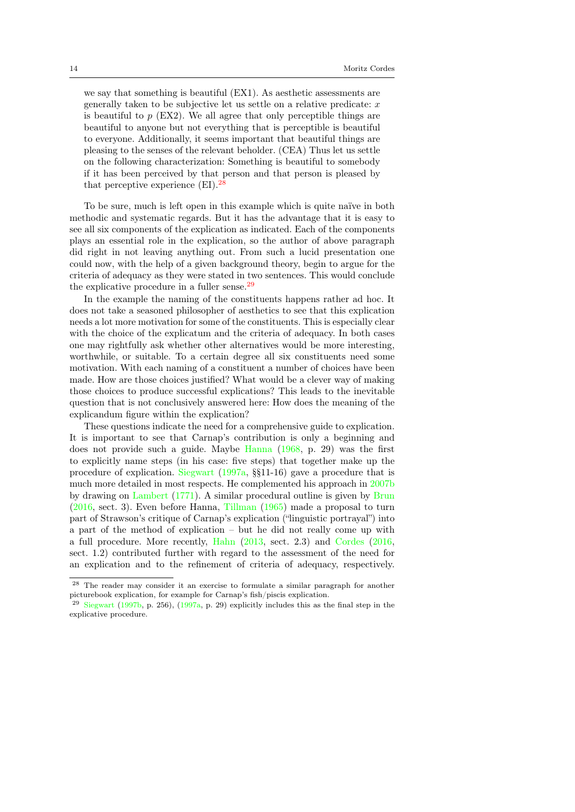we say that something is beautiful (EX1). As aesthetic assessments are generally taken to be subjective let us settle on a relative predicate:  $x$ is beautiful to  $p$  (EX2). We all agree that only perceptible things are beautiful to anyone but not everything that is perceptible is beautiful to everyone. Additionally, it seems important that beautiful things are pleasing to the senses of the relevant beholder. (CEA) Thus let us settle on the following characterization: Something is beautiful to somebody if it has been perceived by that person and that person is pleased by that perceptive experience  $(EI).<sup>2</sup>$ 

To be sure, much is left open in this example which is quite naïve in both methodic and systematic regards. But it has the advantage that it is easy to see all six components of the explication as indicated. Each of the components plays an essential role in the explication, so the author of above paragraph did right in not leaving anything out. From such a lucid presentation one could now, with the help of a given background theory, begin to argue for the criteria of adequacy as they were stated in two sentences. This would conclude the explicative procedure in a fuller sense.[29](#page-13-1)

In the example the naming of the constituents happens rather ad hoc. It does not take a seasoned philosopher of aesthetics to see that this explication needs a lot more motivation for some of the constituents. This is especially clear with the choice of the explicatum and the criteria of adequacy. In both cases one may rightfully ask whether other alternatives would be more interesting, worthwhile, or suitable. To a certain degree all six constituents need some motivation. With each naming of a constituent a number of choices have been made. How are those choices justified? What would be a clever way of making those choices to produce successful explications? This leads to the inevitable question that is not conclusively answered here: How does the meaning of the explicandum figure within the explication?

These questions indicate the need for a comprehensive guide to explication. It is important to see that Carnap's contribution is only a beginning and does not provide such a guide. Maybe [Hanna](#page-27-2) [\(1968,](#page-27-2) p. 29) was the first to explicitly name steps (in his case: five steps) that together make up the procedure of explication. [Siegwart](#page-28-3) [\(1997a,](#page-28-3) §§11-16) gave a procedure that is much more detailed in most respects. He complemented his approach in [2007b](#page-28-10) by drawing on [Lambert](#page-27-14) [\(1771\)](#page-27-14). A similar procedural outline is given by [Brun](#page-27-4) [\(2016,](#page-27-4) sect. 3). Even before Hanna, [Tillman](#page-28-11) [\(1965\)](#page-28-11) made a proposal to turn part of Strawson's critique of Carnap's explication ("linguistic portrayal") into a part of the method of explication – but he did not really come up with a full procedure. More recently, [Hahn](#page-27-6) [\(2013,](#page-27-6) sect. 2.3) and [Cordes](#page-27-8) [\(2016,](#page-27-8) sect. 1.2) contributed further with regard to the assessment of the need for an explication and to the refinement of criteria of adequacy, respectively.

<span id="page-13-0"></span><sup>28</sup> The reader may consider it an exercise to formulate a similar paragraph for another picturebook explication, for example for Carnap's fish/piscis explication.

<span id="page-13-1"></span><sup>29</sup> [Siegwart](#page-28-2) [\(1997b,](#page-28-2) p. 256), [\(1997a,](#page-28-3) p. 29) explicitly includes this as the final step in the explicative procedure.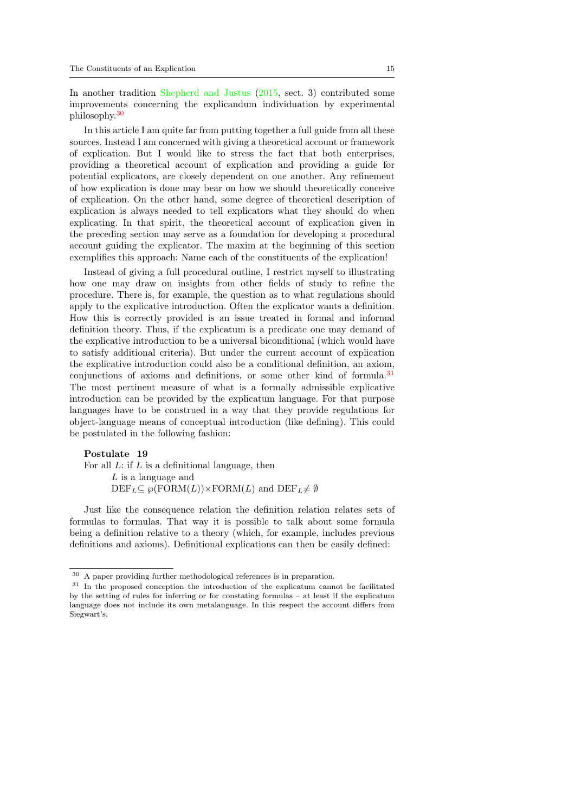In another tradition [Shepherd and Justus](#page-28-4) [\(2015,](#page-28-4) sect. 3) contributed some improvements concerning the explicandum individuation by experimental philosophy.[30](#page-14-0)

In this article I am quite far from putting together a full guide from all these sources. Instead I am concerned with giving a theoretical account or framework of explication. But I would like to stress the fact that both enterprises, providing a theoretical account of explication and providing a guide for potential explicators, are closely dependent on one another. Any refinement of how explication is done may bear on how we should theoretically conceive of explication. On the other hand, some degree of theoretical description of explication is always needed to tell explicators what they should do when explicating. In that spirit, the theoretical account of explication given in the preceding section may serve as a foundation for developing a procedural account guiding the explicator. The maxim at the beginning of this section exemplifies this approach: Name each of the constituents of the explication!

Instead of giving a full procedural outline, I restrict myself to illustrating how one may draw on insights from other fields of study to refine the procedure. There is, for example, the question as to what regulations should apply to the explicative introduction. Often the explicator wants a definition. How this is correctly provided is an issue treated in formal and informal definition theory. Thus, if the explicatum is a predicate one may demand of the explicative introduction to be a universal biconditional (which would have to satisfy additional criteria). But under the current account of explication the explicative introduction could also be a conditional definition, an axiom, conjunctions of axioms and definitions, or some other kind of formula.[31](#page-14-1) The most pertinent measure of what is a formally admissible explicative introduction can be provided by the explicatum language. For that purpose languages have to be construed in a way that they provide regulations for object-language means of conceptual introduction (like defining). This could be postulated in the following fashion:

Postulate 19 For all  $L:$  if  $L$  is a definitional language, then L is a language and  $DEF_L \subseteq \wp(FORM(L)) \times FORM(L)$  and  $DEF_L \neq \emptyset$ 

Just like the consequence relation the definition relation relates sets of formulas to formulas. That way it is possible to talk about some formula being a definition relative to a theory (which, for example, includes previous definitions and axioms). Definitional explications can then be easily defined:

<span id="page-14-0"></span><sup>30</sup> A paper providing further methodological references is in preparation.

<span id="page-14-1"></span><sup>31</sup> In the proposed conception the introduction of the explicatum cannot be facilitated by the setting of rules for inferring or for constating formulas – at least if the explicatum language does not include its own metalanguage. In this respect the account differs from Siegwart's.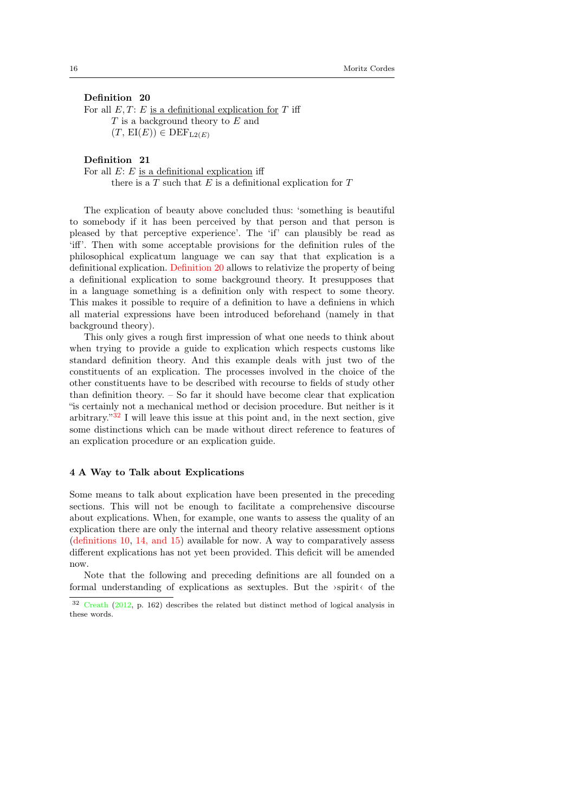## <span id="page-15-1"></span>Definition 20

For all  $E, T: E$  is a definitional explication for T iff  $T$  is a background theory to  $E$  and  $(T, \operatorname{EI}(E)) \in \operatorname{DEF}_{L_2(E)}$ 

#### Definition 21

For all  $E: E$  is a definitional explication iff there is a  $T$  such that  $E$  is a definitional explication for  $T$ 

The explication of beauty above concluded thus: 'something is beautiful to somebody if it has been perceived by that person and that person is pleased by that perceptive experience'. The 'if' can plausibly be read as 'iff'. Then with some acceptable provisions for the definition rules of the philosophical explicatum language we can say that that explication is a definitional explication. [Definition 20](#page-15-1) allows to relativize the property of being a definitional explication to some background theory. It presupposes that in a language something is a definition only with respect to some theory. This makes it possible to require of a definition to have a definiens in which all material expressions have been introduced beforehand (namely in that background theory).

This only gives a rough first impression of what one needs to think about when trying to provide a guide to explication which respects customs like standard definition theory. And this example deals with just two of the constituents of an explication. The processes involved in the choice of the other constituents have to be described with recourse to fields of study other than definition theory. – So far it should have become clear that explication "is certainly not a mechanical method or decision procedure. But neither is it arbitrary.<sup> $32$ </sup> I will leave this issue at this point and, in the next section, give some distinctions which can be made without direct reference to features of an explication procedure or an explication guide.

## <span id="page-15-0"></span>4 A Way to Talk about Explications

Some means to talk about explication have been presented in the preceding sections. This will not be enough to facilitate a comprehensive discourse about explications. When, for example, one wants to assess the quality of an explication there are only the internal and theory relative assessment options [\(definitions 10,](#page-9-0) [14, and 15\)](#page-10-1) available for now. A way to comparatively assess different explications has not yet been provided. This deficit will be amended now.

Note that the following and preceding definitions are all founded on a formal understanding of explications as sextuples. But the  $\gamma$ spirit $\gamma$  of the

<span id="page-15-2"></span><sup>32</sup> [Creath](#page-27-15) [\(2012,](#page-27-15) p. 162) describes the related but distinct method of logical analysis in these words.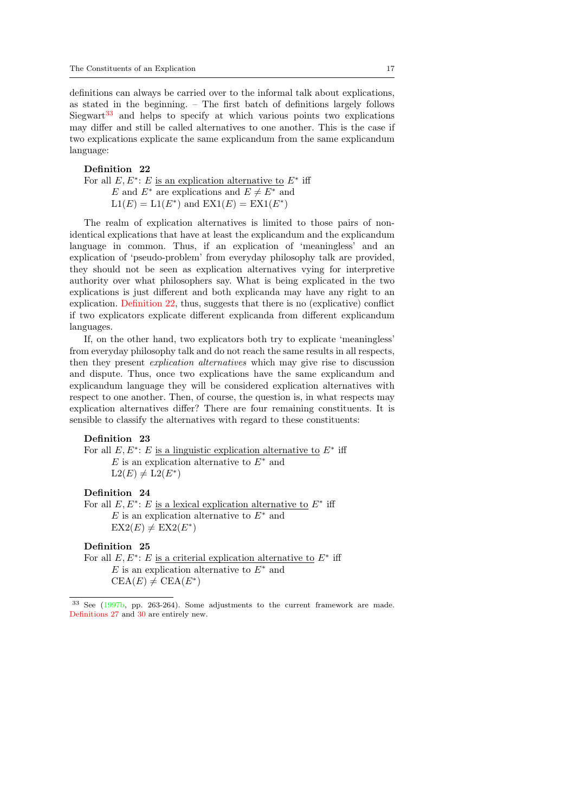definitions can always be carried over to the informal talk about explications, as stated in the beginning. – The first batch of definitions largely follows Siegwart<sup>[33](#page-16-0)</sup> and helps to specify at which various points two explications may differ and still be called alternatives to one another. This is the case if two explications explicate the same explicandum from the same explicandum language:

#### <span id="page-16-1"></span>Definition 22

For all  $E, E^*$ : E is an explication alternative to  $E^*$  iff E and  $E^*$  are explications and  $E \neq E^*$  and  $L1(E) = L1(E^*)$  and  $EX1(E) = EX1(E^*)$ 

The realm of explication alternatives is limited to those pairs of nonidentical explications that have at least the explicandum and the explicandum language in common. Thus, if an explication of 'meaningless' and an explication of 'pseudo-problem' from everyday philosophy talk are provided, they should not be seen as explication alternatives vying for interpretive authority over what philosophers say. What is being explicated in the two explications is just different and both explicanda may have any right to an explication. [Definition 22,](#page-16-1) thus, suggests that there is no (explicative) conflict if two explicators explicate different explicanda from different explicandum languages.

If, on the other hand, two explicators both try to explicate 'meaningless' from everyday philosophy talk and do not reach the same results in all respects, then they present explication alternatives which may give rise to discussion and dispute. Thus, once two explications have the same explicandum and explicandum language they will be considered explication alternatives with respect to one another. Then, of course, the question is, in what respects may explication alternatives differ? There are four remaining constituents. It is sensible to classify the alternatives with regard to these constituents:

## <span id="page-16-2"></span>Definition 23

For all  $E, E^*$ : E is a linguistic explication alternative to  $E^*$  iff E is an explication alternative to  $E^*$  and  $L2(E) \neq L2(E^*)$ 

Definition 24

For all  $E, E^*$ : E is a lexical explication alternative to  $E^*$  iff E is an explication alternative to  $E^*$  and  $EX2(E) \neq EX2(E^*)$ 

Definition 25 For all  $E, E^*$ : E is a criterial explication alternative to  $E^*$  iff E is an explication alternative to  $E^*$  and  $CEA(E) \neq CEA(E^*)$ 

<span id="page-16-0"></span><sup>33</sup> See [\(1997b,](#page-28-2) pp. 263-264). Some adjustments to the current framework are made. [Definitions 27](#page-18-0) and [30](#page-19-0) are entirely new.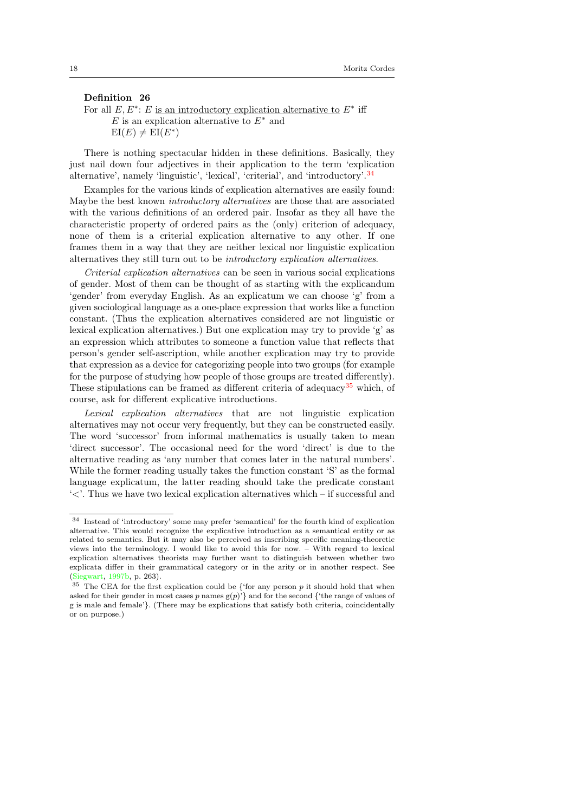## Definition 26

# For all  $E, E^*: E$  is an introductory explication alternative to  $E^*$  iff E is an explication alternative to  $E^*$  and  $\text{EI}(E) \neq \text{EI}(E^*)$

There is nothing spectacular hidden in these definitions. Basically, they just nail down four adjectives in their application to the term 'explication alternative', namely 'linguistic', 'lexical', 'criterial', and 'introductory'.[34](#page-17-0)

Examples for the various kinds of explication alternatives are easily found: Maybe the best known introductory alternatives are those that are associated with the various definitions of an ordered pair. Insofar as they all have the characteristic property of ordered pairs as the (only) criterion of adequacy, none of them is a criterial explication alternative to any other. If one frames them in a way that they are neither lexical nor linguistic explication alternatives they still turn out to be introductory explication alternatives.

Criterial explication alternatives can be seen in various social explications of gender. Most of them can be thought of as starting with the explicandum 'gender' from everyday English. As an explicatum we can choose 'g' from a given sociological language as a one-place expression that works like a function constant. (Thus the explication alternatives considered are not linguistic or lexical explication alternatives.) But one explication may try to provide 'g' as an expression which attributes to someone a function value that reflects that person's gender self-ascription, while another explication may try to provide that expression as a device for categorizing people into two groups (for example for the purpose of studying how people of those groups are treated differently). These stipulations can be framed as different criteria of adequacy<sup>[35](#page-17-1)</sup> which, of course, ask for different explicative introductions.

Lexical explication alternatives that are not linguistic explication alternatives may not occur very frequently, but they can be constructed easily. The word 'successor' from informal mathematics is usually taken to mean 'direct successor'. The occasional need for the word 'direct' is due to the alternative reading as 'any number that comes later in the natural numbers'. While the former reading usually takes the function constant 'S' as the formal language explicatum, the latter reading should take the predicate constant  $\leq$ . Thus we have two lexical explication alternatives which – if successful and

<span id="page-17-0"></span><sup>34</sup> Instead of 'introductory' some may prefer 'semantical' for the fourth kind of explication alternative. This would recognize the explicative introduction as a semantical entity or as related to semantics. But it may also be perceived as inscribing specific meaning-theoretic views into the terminology. I would like to avoid this for now. – With regard to lexical explication alternatives theorists may further want to distinguish between whether two explicata differ in their grammatical category or in the arity or in another respect. See [\(Siegwart,](#page-28-2) [1997b,](#page-28-2) p. 263).

<span id="page-17-1"></span> $35$  The CEA for the first explication could be {'for any person p it should hold that when asked for their gender in most cases p names  $g(p)$ <sup>'</sup>} and for the second {'the range of values of g is male and female'}. (There may be explications that satisfy both criteria, coincidentally or on purpose.)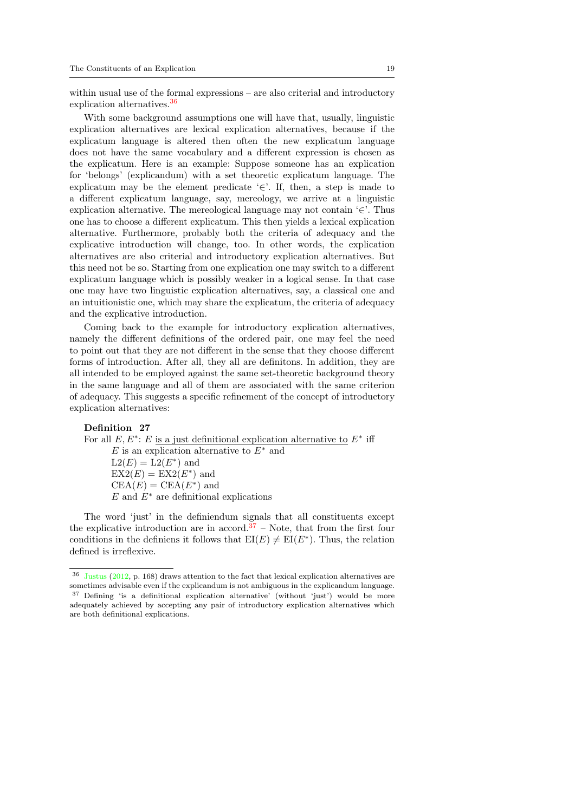within usual use of the formal expressions – are also criterial and introductory explication alternatives.<sup>[36](#page-18-1)</sup>

With some background assumptions one will have that, usually, linguistic explication alternatives are lexical explication alternatives, because if the explicatum language is altered then often the new explicatum language does not have the same vocabulary and a different expression is chosen as the explicatum. Here is an example: Suppose someone has an explication for 'belongs' (explicandum) with a set theoretic explicatum language. The explicatum may be the element predicate  $\in$ . If, then, a step is made to a different explicatum language, say, mereology, we arrive at a linguistic explication alternative. The mereological language may not contain '∈'. Thus one has to choose a different explicatum. This then yields a lexical explication alternative. Furthermore, probably both the criteria of adequacy and the explicative introduction will change, too. In other words, the explication alternatives are also criterial and introductory explication alternatives. But this need not be so. Starting from one explication one may switch to a different explicatum language which is possibly weaker in a logical sense. In that case one may have two linguistic explication alternatives, say, a classical one and an intuitionistic one, which may share the explicatum, the criteria of adequacy and the explicative introduction.

Coming back to the example for introductory explication alternatives, namely the different definitions of the ordered pair, one may feel the need to point out that they are not different in the sense that they choose different forms of introduction. After all, they all are definitons. In addition, they are all intended to be employed against the same set-theoretic background theory in the same language and all of them are associated with the same criterion of adequacy. This suggests a specific refinement of the concept of introductory explication alternatives:

#### <span id="page-18-0"></span>Definition 27

For all  $E, E^*: E$  is a just definitional explication alternative to  $E^*$  iff E is an explication alternative to  $E^*$  and  $L2(E) = L2(E^*)$  and  $EX2(E) = EX2(E^*)$  and  $CEA(E) = CEA(E^*)$  and  $E$  and  $E^*$  are definitional explications

The word 'just' in the definiendum signals that all constituents except the explicative introduction are in accord.<sup>[37](#page-18-2)</sup> – Note, that from the first four conditions in the definiens it follows that  $\text{EI}(E) \neq \text{EI}(E^*)$ . Thus, the relation defined is irreflexive.

<span id="page-18-2"></span><span id="page-18-1"></span><sup>36</sup> [Justus](#page-27-9) [\(2012,](#page-27-9) p. 168) draws attention to the fact that lexical explication alternatives are sometimes advisable even if the explicandum is not ambiguous in the explicandum language. <sup>37</sup> Defining 'is a definitional explication alternative' (without 'just') would be more adequately achieved by accepting any pair of introductory explication alternatives which are both definitional explications.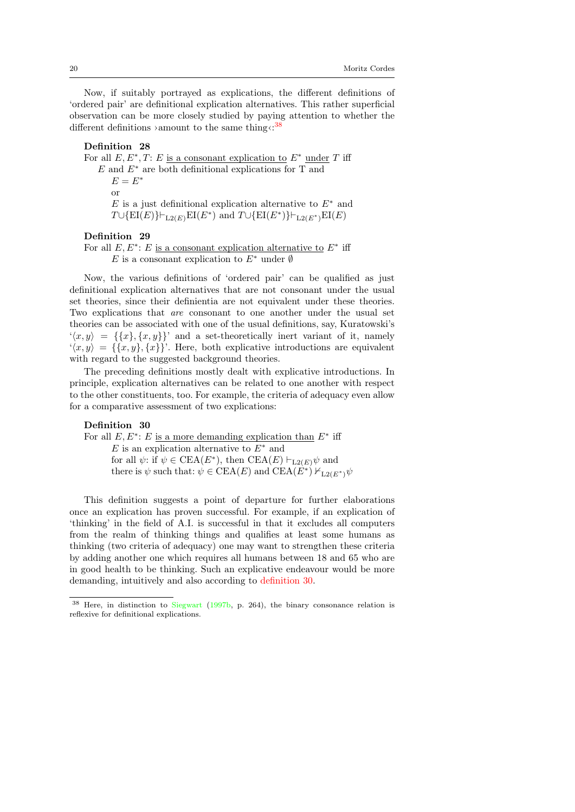Now, if suitably portrayed as explications, the different definitions of 'ordered pair' are definitional explication alternatives. This rather superficial observation can be more closely studied by paying attention to whether the different definitions >amount to the same thing $\langle$ :<sup>[38](#page-19-1)</sup>

## <span id="page-19-2"></span>Definition 28

For all  $E, E^*, T$ : E is a consonant explication to  $E^*$  under T iff  $E$  and  $E^*$  are both definitional explications for T and  $E = E^*$ or E is a just definitional explication alternative to  $E^*$  and  $T\cup {\rm EL}(E)\}\vdash_{\mathrm{L2}(E)} \mathrm{EI}(E^*)$  and  $T\cup {\rm EL}(E^*)\}\vdash_{\mathrm{L2}(E^*)} \mathrm{EI}(E)$ 

#### Definition 29

For all  $E, E^*$ : E is a consonant explication alternative to  $E^*$  iff E is a consonant explication to  $E^*$  under  $\emptyset$ 

Now, the various definitions of 'ordered pair' can be qualified as just definitional explication alternatives that are not consonant under the usual set theories, since their definientia are not equivalent under these theories. Two explications that are consonant to one another under the usual set theories can be associated with one of the usual definitions, say, Kuratowski's  $\langle x, y \rangle = {\langle x, y \rangle}$  and a set-theoretically inert variant of it, namely  $\langle x, y \rangle = {\langle x, y \rangle, \{x\}}'.$  Here, both explicative introductions are equivalent with regard to the suggested background theories.

The preceding definitions mostly dealt with explicative introductions. In principle, explication alternatives can be related to one another with respect to the other constituents, too. For example, the criteria of adequacy even allow for a comparative assessment of two explications:

#### <span id="page-19-0"></span>Definition 30

For all  $E, E^*$ : E is a more demanding explication than  $E^*$  iff E is an explication alternative to  $E^*$  and for all  $\psi$ : if  $\psi \in \text{CEA}(E^*)$ , then  $\text{CEA}(E) \vdash_{\text{L2}(E)} \psi$  and there is  $\psi$  such that:  $\psi \in \text{CEA}(E)$  and  $\text{CEA}(E^*) \nvdash_{\text{L2}(E^*)} \psi$ 

This definition suggests a point of departure for further elaborations once an explication has proven successful. For example, if an explication of 'thinking' in the field of A.I. is successful in that it excludes all computers from the realm of thinking things and qualifies at least some humans as thinking (two criteria of adequacy) one may want to strengthen these criteria by adding another one which requires all humans between 18 and 65 who are in good health to be thinking. Such an explicative endeavour would be more demanding, intuitively and also according to [definition 30.](#page-19-0)

<span id="page-19-1"></span><sup>38</sup> Here, in distinction to [Siegwart](#page-28-2) [\(1997b,](#page-28-2) p. 264), the binary consonance relation is reflexive for definitional explications.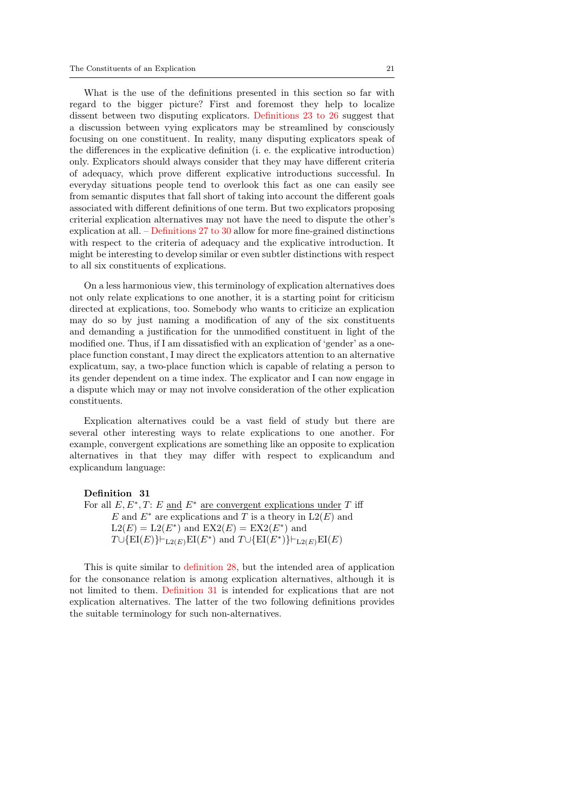What is the use of the definitions presented in this section so far with regard to the bigger picture? First and foremost they help to localize dissent between two disputing explicators. [Definitions 23 to 26](#page-16-2) suggest that a discussion between vying explicators may be streamlined by consciously focusing on one constituent. In reality, many disputing explicators speak of the differences in the explicative definition (i. e. the explicative introduction) only. Explicators should always consider that they may have different criteria of adequacy, which prove different explicative introductions successful. In everyday situations people tend to overlook this fact as one can easily see from semantic disputes that fall short of taking into account the different goals associated with different definitions of one term. But two explicators proposing criterial explication alternatives may not have the need to dispute the other's explication at all. – [Definitions 27 to 30](#page-18-0) allow for more fine-grained distinctions with respect to the criteria of adequacy and the explicative introduction. It might be interesting to develop similar or even subtler distinctions with respect to all six constituents of explications.

On a less harmonious view, this terminology of explication alternatives does not only relate explications to one another, it is a starting point for criticism directed at explications, too. Somebody who wants to criticize an explication may do so by just naming a modification of any of the six constituents and demanding a justification for the unmodified constituent in light of the modified one. Thus, if I am dissatisfied with an explication of 'gender' as a oneplace function constant, I may direct the explicators attention to an alternative explicatum, say, a two-place function which is capable of relating a person to its gender dependent on a time index. The explicator and I can now engage in a dispute which may or may not involve consideration of the other explication constituents.

Explication alternatives could be a vast field of study but there are several other interesting ways to relate explications to one another. For example, convergent explications are something like an opposite to explication alternatives in that they may differ with respect to explicandum and explicandum language:

## <span id="page-20-0"></span>Definition 31

For all  $E, E^*, T: E$  and  $E^*$  are convergent explications under T iff E and  $E^*$  are explications and T is a theory in  $L_2(E)$  and  $L2(E) = L2(E^*)$  and  $EX2(E) = EX2(E^*)$  and  $T\cup {\rm EL}(E)\}\vdash_{\mathrm{L2}(E)} \mathrm{EI}(E^*)$  and  $T\cup {\rm EL}(E^*)\}\vdash_{\mathrm{L2}(E)} \mathrm{EI}(E)$ 

This is quite similar to [definition 28,](#page-19-2) but the intended area of application for the consonance relation is among explication alternatives, although it is not limited to them. [Definition 31](#page-20-0) is intended for explications that are not explication alternatives. The latter of the two following definitions provides the suitable terminology for such non-alternatives.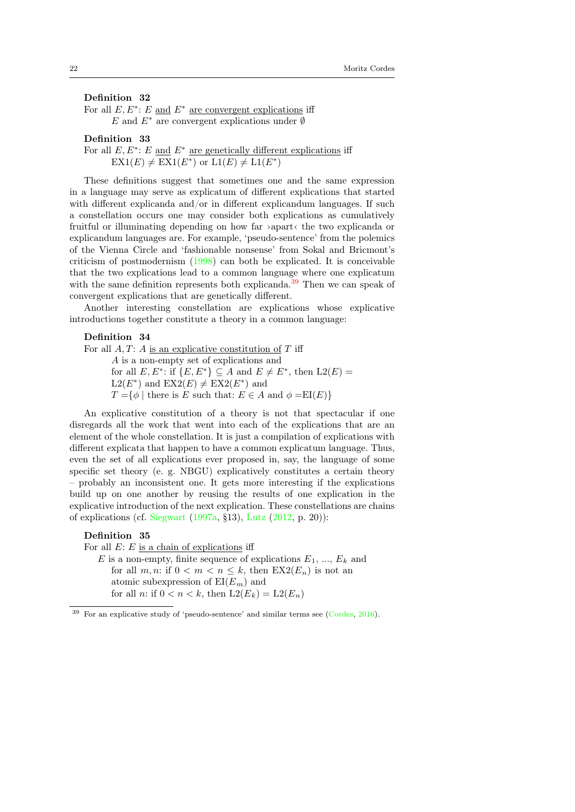## Definition 32

For all  $E, E^*$ : E and  $E^*$  are convergent explications iff E and  $E^*$  are convergent explications under  $\emptyset$ 

#### <span id="page-21-2"></span>Definition 33

For all  $E, E^*$ : E and  $E^*$  are genetically different explications if  $\text{EX1}(E) \neq \text{EX1}(E^*)$  or  $\text{L1}(E) \neq \text{L1}(E^*)$ 

These definitions suggest that sometimes one and the same expression in a language may serve as explicatum of different explications that started with different explicanda and/or in different explicandum languages. If such a constellation occurs one may consider both explications as cumulatively fruitful or illuminating depending on how far  $\alpha$  apart $\alpha$  the two explicands or explicandum languages are. For example, 'pseudo-sentence' from the polemics of the Vienna Circle and 'fashionable nonsense' from Sokal and Bricmont's criticism of postmodernism [\(1998\)](#page-28-12) can both be explicated. It is conceivable that the two explications lead to a common language where one explicatum with the same definition represents both explicanda.<sup>[39](#page-21-0)</sup> Then we can speak of convergent explications that are genetically different.

Another interesting constellation are explications whose explicative introductions together constitute a theory in a common language:

## Definition 34

For all  $A, T: A$  is an explicative constitution of T iff A is a non-empty set of explications and for all  $E, E^*$ : if  $\{E, E^*\}\subseteq A$  and  $E \neq E^*$ , then  $L2(E)$  = L2( $E^*$ ) and EX2( $E$ )  $\neq$  EX2( $E^*$ ) and  $T = {\phi | \text{ there is } E \text{ such that: } E \in A \text{ and } \phi = EI(E) }$ 

An explicative constitution of a theory is not that spectacular if one disregards all the work that went into each of the explications that are an element of the whole constellation. It is just a compilation of explications with different explicata that happen to have a common explicatum language. Thus, even the set of all explications ever proposed in, say, the language of some specific set theory (e. g. NBGU) explicatively constitutes a certain theory – probably an inconsistent one. It gets more interesting if the explications build up on one another by reusing the results of one explication in the explicative introduction of the next explication. These constellations are chains of explications (cf. [Siegwart](#page-28-3) [\(1997a,](#page-28-3) §13), [Lutz](#page-27-16) [\(2012,](#page-27-16) p. 20)):

#### <span id="page-21-1"></span>Definition 35

For all  $E: E$  is a chain of explications iff

E is a non-empty, finite sequence of explications  $E_1, ..., E_k$  and for all  $m, n$ : if  $0 < m < n \leq k$ , then  $EX2(E_n)$  is not an atomic subexpression of  $E I(E_m)$  and for all *n*: if  $0 < n < k$ , then  $L2(E_k) = L2(E_n)$ 

<span id="page-21-0"></span><sup>39</sup> For an explicative study of 'pseudo-sentence' and similar terms see [\(Cordes,](#page-27-8) [2016\)](#page-27-8).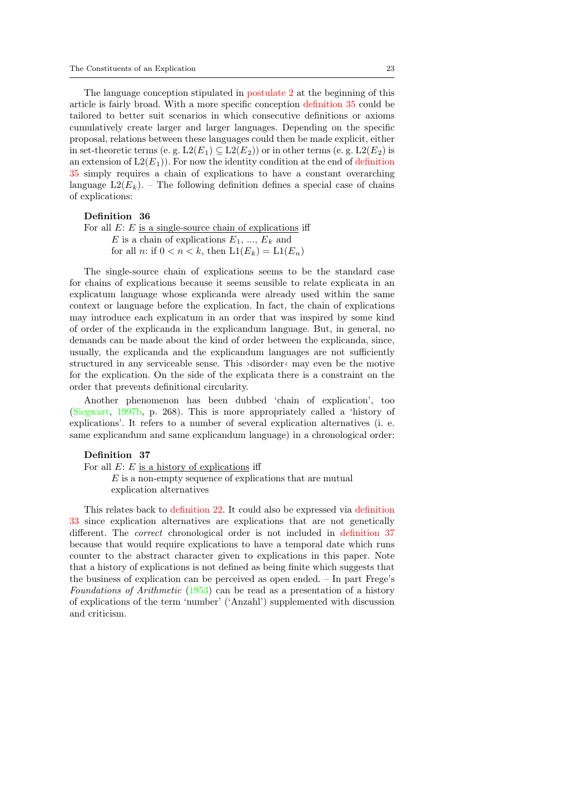The language conception stipulated in [postulate 2](#page-4-1) at the beginning of this article is fairly broad. With a more specific conception [definition 35](#page-21-1) could be tailored to better suit scenarios in which consecutive definitions or axioms cumulatively create larger and larger languages. Depending on the specific proposal, relations between these languages could then be made explicit, either in set-theoretic terms (e. g.  $L2(E_1) \subseteq L2(E_2)$ ) or in other terms (e. g.  $L2(E_2)$ ) is an extension of  $L_2(E_1)$ . For now the identity condition at the end of [definition](#page-21-1) [35](#page-21-1) simply requires a chain of explications to have a constant overarching language  $L2(E_k)$ . – The following definition defines a special case of chains of explications:

#### Definition 36

For all  $E: E$  is a single-source chain of explications iff  $E$  is a chain of explications  $E_1, ..., E_k$  and for all *n*: if  $0 < n < k$ , then  $L1(E_k) = L1(E_n)$ 

The single-source chain of explications seems to be the standard case for chains of explications because it seems sensible to relate explicata in an explicatum language whose explicanda were already used within the same context or language before the explication. In fact, the chain of explications may introduce each explicatum in an order that was inspired by some kind of order of the explicanda in the explicandum language. But, in general, no demands can be made about the kind of order between the explicanda, since, usually, the explicanda and the explicandum languages are not sufficiently structured in any serviceable sense. This ›disorder‹ may even be the motive for the explication. On the side of the explicata there is a constraint on the order that prevents definitional circularity.

Another phenomenon has been dubbed 'chain of explication', too [\(Siegwart,](#page-28-2) [1997b,](#page-28-2) p. 268). This is more appropriately called a 'history of explications'. It refers to a number of several explication alternatives (i. e. same explicandum and same explicandum language) in a chronological order:

# <span id="page-22-0"></span>Definition 37

For all  $E: E$  is a history of explications iff  $E$  is a non-empty sequence of explications that are mutual explication alternatives

This relates back to [definition 22.](#page-16-1) It could also be expressed via [definition](#page-21-2) [33](#page-21-2) since explication alternatives are explications that are not genetically different. The correct chronological order is not included in [definition 37](#page-22-0) because that would require explications to have a temporal date which runs counter to the abstract character given to explications in this paper. Note that a history of explications is not defined as being finite which suggests that the business of explication can be perceived as open ended. – In part Frege's Foundations of Arithmetic [\(1953\)](#page-27-17) can be read as a presentation of a history of explications of the term 'number' ('Anzahl') supplemented with discussion and criticism.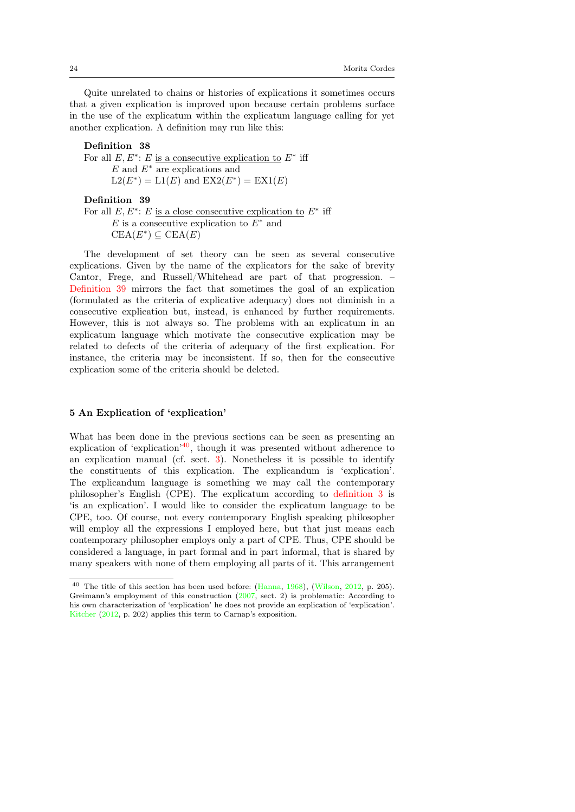Quite unrelated to chains or histories of explications it sometimes occurs that a given explication is improved upon because certain problems surface in the use of the explicatum within the explicatum language calling for yet another explication. A definition may run like this:

#### Definition 38

For all  $E, E^*$ : E is a consecutive explication to  $E^*$  iff  $E$  and  $E^*$  are explications and  $L2(E^*) = L1(E)$  and  $EX2(E^*) = EX1(E)$ 

## <span id="page-23-1"></span>Definition 39

For all  $E, E^*$ : E is a close consecutive explication to  $E^*$  iff E is a consecutive explication to  $E^*$  and  $CEA(E^*) \subseteq CEA(E)$ 

The development of set theory can be seen as several consecutive explications. Given by the name of the explicators for the sake of brevity Cantor, Frege, and Russell/Whitehead are part of that progression. – [Definition 39](#page-23-1) mirrors the fact that sometimes the goal of an explication (formulated as the criteria of explicative adequacy) does not diminish in a consecutive explication but, instead, is enhanced by further requirements. However, this is not always so. The problems with an explicatum in an explicatum language which motivate the consecutive explication may be related to defects of the criteria of adequacy of the first explication. For instance, the criteria may be inconsistent. If so, then for the consecutive explication some of the criteria should be deleted.

# <span id="page-23-0"></span>5 An Explication of 'explication'

What has been done in the previous sections can be seen as presenting an explication of 'explication'<sup>[40](#page-23-2)</sup>, though it was presented without adherence to an explication manual (cf. sect. [3\)](#page-12-0). Nonetheless it is possible to identify the constituents of this explication. The explicandum is 'explication'. The explicandum language is something we may call the contemporary philosopher's English (CPE). The explicatum according to [definition 3](#page-5-0) is 'is an explication'. I would like to consider the explicatum language to be CPE, too. Of course, not every contemporary English speaking philosopher will employ all the expressions I employed here, but that just means each contemporary philosopher employs only a part of CPE. Thus, CPE should be considered a language, in part formal and in part informal, that is shared by many speakers with none of them employing all parts of it. This arrangement

<span id="page-23-2"></span><sup>40</sup> The title of this section has been used before: [\(Hanna,](#page-27-2) [1968\)](#page-27-2), [\(Wilson,](#page-28-13) [2012,](#page-28-13) p. 205). Greimann's employment of this construction [\(2007,](#page-27-3) sect. 2) is problematic: According to his own characterization of 'explication' he does not provide an explication of 'explication'. [Kitcher](#page-27-18) [\(2012,](#page-27-18) p. 202) applies this term to Carnap's exposition.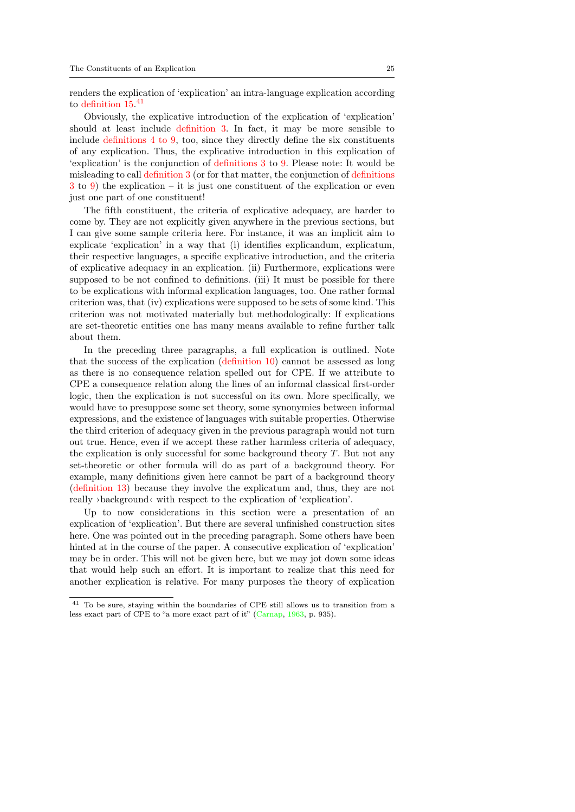renders the explication of 'explication' an intra-language explication according to [definition 15.](#page-10-2) [41](#page-24-0)

Obviously, the explicative introduction of the explication of 'explication' should at least include [definition 3.](#page-5-0) In fact, it may be more sensible to include [definitions 4 to 9,](#page-7-0) too, since they directly define the six constituents of any explication. Thus, the explicative introduction in this explication of 'explication' is the conjunction of [definitions 3](#page-5-0) to [9.](#page-8-4) Please note: It would be misleading to call [definition 3](#page-5-0) (or for that matter, the conjunction of [definitions](#page-5-0)  $3$  to [9\)](#page-8-4) the explication – it is just one constituent of the explication or even just one part of one constituent!

The fifth constituent, the criteria of explicative adequacy, are harder to come by. They are not explicitly given anywhere in the previous sections, but I can give some sample criteria here. For instance, it was an implicit aim to explicate 'explication' in a way that (i) identifies explicandum, explicatum, their respective languages, a specific explicative introduction, and the criteria of explicative adequacy in an explication. (ii) Furthermore, explications were supposed to be not confined to definitions. (iii) It must be possible for there to be explications with informal explication languages, too. One rather formal criterion was, that (iv) explications were supposed to be sets of some kind. This criterion was not motivated materially but methodologically: If explications are set-theoretic entities one has many means available to refine further talk about them.

In the preceding three paragraphs, a full explication is outlined. Note that the success of the explication [\(definition 10\)](#page-9-0) cannot be assessed as long as there is no consequence relation spelled out for CPE. If we attribute to CPE a consequence relation along the lines of an informal classical first-order logic, then the explication is not successful on its own. More specifically, we would have to presuppose some set theory, some synonymies between informal expressions, and the existence of languages with suitable properties. Otherwise the third criterion of adequacy given in the previous paragraph would not turn out true. Hence, even if we accept these rather harmless criteria of adequacy, the explication is only successful for some background theory T. But not any set-theoretic or other formula will do as part of a background theory. For example, many definitions given here cannot be part of a background theory [\(definition 13\)](#page-10-0) because they involve the explicatum and, thus, they are not really >background< with respect to the explication of 'explication'.

Up to now considerations in this section were a presentation of an explication of 'explication'. But there are several unfinished construction sites here. One was pointed out in the preceding paragraph. Some others have been hinted at in the course of the paper. A consecutive explication of 'explication' may be in order. This will not be given here, but we may jot down some ideas that would help such an effort. It is important to realize that this need for another explication is relative. For many purposes the theory of explication

<span id="page-24-0"></span><sup>41</sup> To be sure, staying within the boundaries of CPE still allows us to transition from a less exact part of CPE to "a more exact part of it" [\(Carnap,](#page-27-19) [1963,](#page-27-19) p. 935).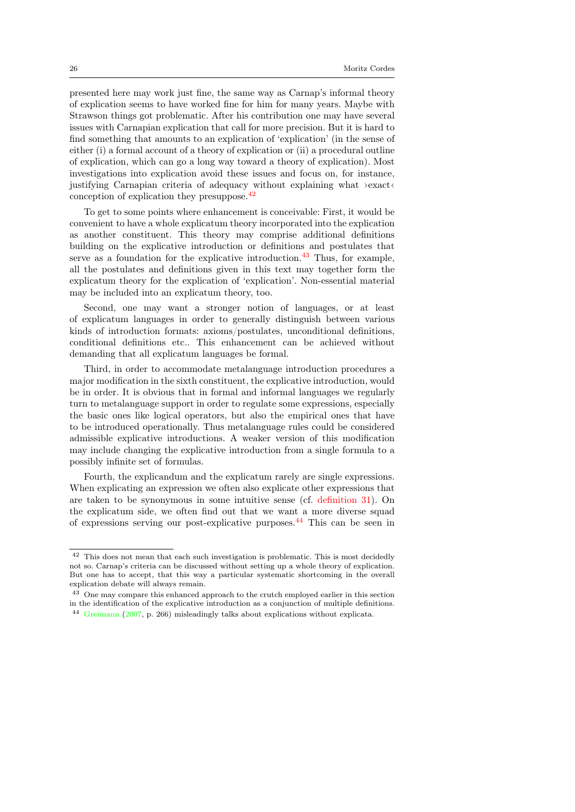presented here may work just fine, the same way as Carnap's informal theory of explication seems to have worked fine for him for many years. Maybe with Strawson things got problematic. After his contribution one may have several issues with Carnapian explication that call for more precision. But it is hard to find something that amounts to an explication of 'explication' (in the sense of either (i) a formal account of a theory of explication or (ii) a procedural outline of explication, which can go a long way toward a theory of explication). Most investigations into explication avoid these issues and focus on, for instance, justifying Carnapian criteria of adequacy without explaining what  $\rho$ exact $\langle$ conception of explication they presuppose.[42](#page-25-0)

To get to some points where enhancement is conceivable: First, it would be convenient to have a whole explicatum theory incorporated into the explication as another constituent. This theory may comprise additional definitions building on the explicative introduction or definitions and postulates that serve as a foundation for the explicative introduction. $43$  Thus, for example, all the postulates and definitions given in this text may together form the explicatum theory for the explication of 'explication'. Non-essential material may be included into an explicatum theory, too.

Second, one may want a stronger notion of languages, or at least of explicatum languages in order to generally distinguish between various kinds of introduction formats: axioms/postulates, unconditional definitions, conditional definitions etc.. This enhancement can be achieved without demanding that all explicatum languages be formal.

Third, in order to accommodate metalanguage introduction procedures a major modification in the sixth constituent, the explicative introduction, would be in order. It is obvious that in formal and informal languages we regularly turn to metalanguage support in order to regulate some expressions, especially the basic ones like logical operators, but also the empirical ones that have to be introduced operationally. Thus metalanguage rules could be considered admissible explicative introductions. A weaker version of this modification may include changing the explicative introduction from a single formula to a possibly infinite set of formulas.

Fourth, the explicandum and the explicatum rarely are single expressions. When explicating an expression we often also explicate other expressions that are taken to be synonymous in some intuitive sense (cf. [definition 31\)](#page-20-0). On the explicatum side, we often find out that we want a more diverse squad of expressions serving our post-explicative purposes.[44](#page-25-2) This can be seen in

<span id="page-25-0"></span><sup>42</sup> This does not mean that each such investigation is problematic. This is most decidedly not so. Carnap's criteria can be discussed without setting up a whole theory of explication. But one has to accept, that this way a particular systematic shortcoming in the overall explication debate will always remain.

<span id="page-25-2"></span><span id="page-25-1"></span><sup>43</sup> One may compare this enhanced approach to the crutch employed earlier in this section in the identification of the explicative introduction as a conjunction of multiple definitions. <sup>44</sup> [Greimann](#page-27-3) [\(2007,](#page-27-3) p. 266) misleadingly talks about explications without explicata.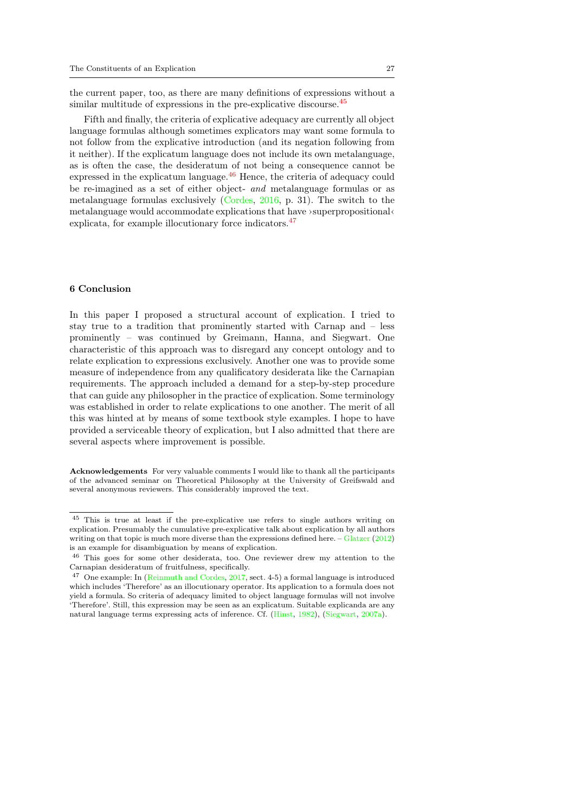the current paper, too, as there are many definitions of expressions without a similar multitude of expressions in the pre-explicative discourse.<sup>[45](#page-26-0)</sup>

Fifth and finally, the criteria of explicative adequacy are currently all object language formulas although sometimes explicators may want some formula to not follow from the explicative introduction (and its negation following from it neither). If the explicatum language does not include its own metalanguage, as is often the case, the desideratum of not being a consequence cannot be expressed in the explicatum language.<sup>[46](#page-26-1)</sup> Hence, the criteria of adequacy could be re-imagined as a set of either object- and metalanguage formulas or as metalanguage formulas exclusively [\(Cordes,](#page-27-8) [2016,](#page-27-8) p. 31). The switch to the metalanguage would accommodate explications that have  $\alpha$  superpropositional. explicata, for example illocutionary force indicators.<sup>[47](#page-26-2)</sup>

#### 6 Conclusion

In this paper I proposed a structural account of explication. I tried to stay true to a tradition that prominently started with Carnap and – less prominently – was continued by Greimann, Hanna, and Siegwart. One characteristic of this approach was to disregard any concept ontology and to relate explication to expressions exclusively. Another one was to provide some measure of independence from any qualificatory desiderata like the Carnapian requirements. The approach included a demand for a step-by-step procedure that can guide any philosopher in the practice of explication. Some terminology was established in order to relate explications to one another. The merit of all this was hinted at by means of some textbook style examples. I hope to have provided a serviceable theory of explication, but I also admitted that there are several aspects where improvement is possible.

Acknowledgements For very valuable comments I would like to thank all the participants of the advanced seminar on Theoretical Philosophy at the University of Greifswald and several anonymous reviewers. This considerably improved the text.

<span id="page-26-0"></span><sup>45</sup> This is true at least if the pre-explicative use refers to single authors writing on explication. Presumably the cumulative pre-explicative talk about explication by all authors writing on that topic is much more diverse than the expressions defined here. – [Glatzer](#page-27-5) [\(2012\)](#page-27-5) is an example for disambiguation by means of explication.

<span id="page-26-1"></span><sup>46</sup> This goes for some other desiderata, too. One reviewer drew my attention to the Carnapian desideratum of fruitfulness, specifically.

<span id="page-26-2"></span><sup>47</sup> One example: In [\(Reinmuth and Cordes,](#page-28-14) [2017,](#page-28-14) sect. 4-5) a formal language is introduced which includes 'Therefore' as an illocutionary operator. Its application to a formula does not yield a formula. So criteria of adequacy limited to object language formulas will not involve 'Therefore'. Still, this expression may be seen as an explicatum. Suitable explicanda are any natural language terms expressing acts of inference. Cf. [\(Hinst,](#page-27-20) [1982\)](#page-27-20), [\(Siegwart,](#page-28-15) [2007a\)](#page-28-15).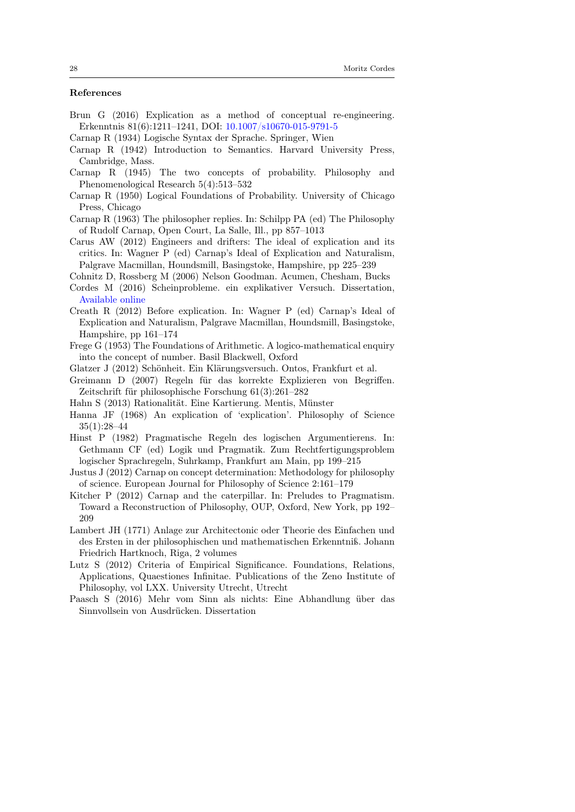## References

- <span id="page-27-4"></span>Brun G (2016) Explication as a method of conceptual re-engineering. Erkenntnis 81(6):1211–1241, DOI: [10.1007/s10670-015-9791-5](http://boris.unibe.ch/77024/)
- <span id="page-27-12"></span>Carnap R (1934) Logische Syntax der Sprache. Springer, Wien
- <span id="page-27-13"></span>Carnap R (1942) Introduction to Semantics. Harvard University Press, Cambridge, Mass.
- <span id="page-27-1"></span>Carnap R (1945) The two concepts of probability. Philosophy and Phenomenological Research 5(4):513–532
- <span id="page-27-0"></span>Carnap R (1950) Logical Foundations of Probability. University of Chicago Press, Chicago
- <span id="page-27-19"></span>Carnap R (1963) The philosopher replies. In: Schilpp PA (ed) The Philosophy of Rudolf Carnap, Open Court, La Salle, Ill., pp 857–1013
- <span id="page-27-10"></span>Carus AW (2012) Engineers and drifters: The ideal of explication and its critics. In: Wagner P (ed) Carnap's Ideal of Explication and Naturalism, Palgrave Macmillan, Houndsmill, Basingstoke, Hampshire, pp 225–239
- <span id="page-27-11"></span>Cohnitz D, Rossberg M (2006) Nelson Goodman. Acumen, Chesham, Bucks
- <span id="page-27-8"></span>Cordes M (2016) Scheinprobleme. ein explikativer Versuch. Dissertation, [Available online](http://ub-ed.ub.uni-greifswald.de/opus/volltexte/2016/2497/)
- <span id="page-27-15"></span>Creath R (2012) Before explication. In: Wagner P (ed) Carnap's Ideal of Explication and Naturalism, Palgrave Macmillan, Houndsmill, Basingstoke, Hampshire, pp 161–174
- <span id="page-27-17"></span>Frege G (1953) The Foundations of Arithmetic. A logico-mathematical enquiry into the concept of number. Basil Blackwell, Oxford
- <span id="page-27-5"></span>Glatzer J (2012) Schönheit. Ein Klärungsversuch. Ontos, Frankfurt et al.
- <span id="page-27-3"></span>Greimann D (2007) Regeln für das korrekte Explizieren von Begriffen. Zeitschrift für philosophische Forschung 61(3):261–282
- <span id="page-27-6"></span>Hahn S (2013) Rationalität. Eine Kartierung. Mentis, Münster
- <span id="page-27-2"></span>Hanna JF (1968) An explication of 'explication'. Philosophy of Science 35(1):28–44
- <span id="page-27-20"></span>Hinst P (1982) Pragmatische Regeln des logischen Argumentierens. In: Gethmann CF (ed) Logik und Pragmatik. Zum Rechtfertigungsproblem logischer Sprachregeln, Suhrkamp, Frankfurt am Main, pp 199–215
- <span id="page-27-9"></span>Justus J (2012) Carnap on concept determination: Methodology for philosophy of science. European Journal for Philosophy of Science 2:161–179
- <span id="page-27-18"></span>Kitcher P (2012) Carnap and the caterpillar. In: Preludes to Pragmatism. Toward a Reconstruction of Philosophy, OUP, Oxford, New York, pp 192– 209
- <span id="page-27-14"></span>Lambert JH (1771) Anlage zur Architectonic oder Theorie des Einfachen und des Ersten in der philosophischen und mathematischen Erkenntniß. Johann Friedrich Hartknoch, Riga, 2 volumes
- <span id="page-27-16"></span>Lutz S (2012) Criteria of Empirical Significance. Foundations, Relations, Applications, Quaestiones Infinitae. Publications of the Zeno Institute of Philosophy, vol LXX. University Utrecht, Utrecht
- <span id="page-27-7"></span>Paasch S (2016) Mehr vom Sinn als nichts: Eine Abhandlung über das Sinnvollsein von Ausdrücken. Dissertation